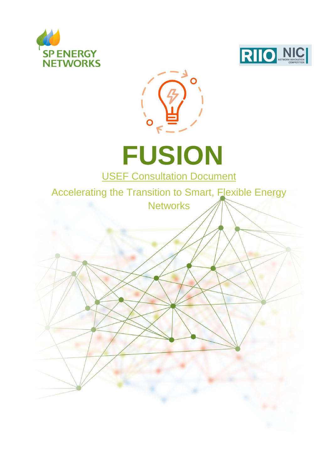



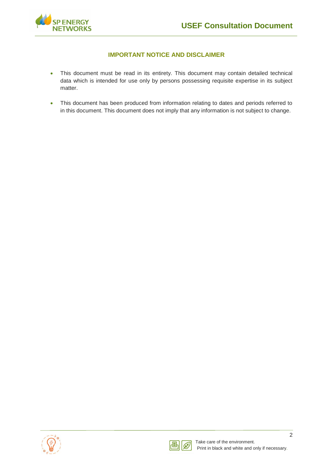

### **IMPORTANT NOTICE AND DISCLAIMER**

- This document must be read in its entirety. This document may contain detailed technical data which is intended for use only by persons possessing requisite expertise in its subject matter.
- This document has been produced from information relating to dates and periods referred to in this document. This document does not imply that any information is not subject to change.



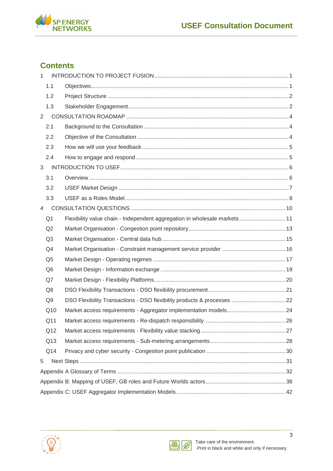

## **Contents**

| $\mathbf{1}$   |                |                                                                           |  |
|----------------|----------------|---------------------------------------------------------------------------|--|
|                | 1.1            |                                                                           |  |
|                | 1.2            |                                                                           |  |
|                | 1.3            |                                                                           |  |
| $2^{\circ}$    |                |                                                                           |  |
|                | 2.1            |                                                                           |  |
|                | 2.2            |                                                                           |  |
|                | 2.3            |                                                                           |  |
|                | 2.4            |                                                                           |  |
| 3              |                |                                                                           |  |
|                | 3.1            |                                                                           |  |
|                | 3.2            |                                                                           |  |
|                | 3.3            |                                                                           |  |
| $\overline{4}$ |                |                                                                           |  |
|                | Q <sub>1</sub> | Flexibility value chain - Independent aggregation in wholesale markets 11 |  |
|                | Q2             |                                                                           |  |
|                | Q3             |                                                                           |  |
|                | Q4             |                                                                           |  |
|                | Q <sub>5</sub> |                                                                           |  |
|                | Q <sub>6</sub> |                                                                           |  |
|                | Q7             |                                                                           |  |
|                | Q8             |                                                                           |  |
|                | Q9             | DSO Flexibility Transactions - DSO flexibility products & processes  22   |  |
|                | Q10            |                                                                           |  |
|                | Q11            |                                                                           |  |
|                | Q12            |                                                                           |  |
|                | Q13            |                                                                           |  |
|                | Q14            |                                                                           |  |
| 5              |                |                                                                           |  |
|                |                |                                                                           |  |
|                |                |                                                                           |  |
|                |                |                                                                           |  |



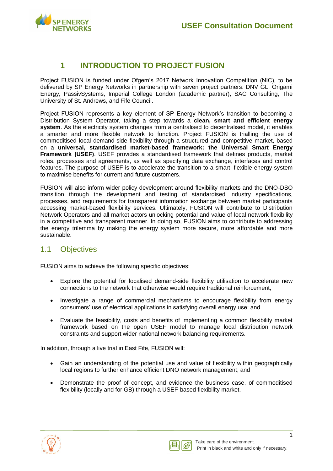

## <span id="page-3-0"></span>**1 INTRODUCTION TO PROJECT FUSION**

Project FUSION is funded under Ofgem's 2017 Network Innovation Competition (NIC), to be delivered by SP Energy Networks in partnership with seven project partners: DNV GL, Origami Energy, PassivSystems, Imperial College London (academic partner), SAC Consulting, The University of St. Andrews, and Fife Council.

Project FUSION represents a key element of SP Energy Network's transition to becoming a Distribution System Operator, taking a step towards a **clean, smart and efficient energy system**. As the electricity system changes from a centralised to decentralised model, it enables a smarter and more flexible network to function. Project FUSION is trialling the use of commoditised local demand-side flexibility through a structured and competitive market, based on a **universal, standardised market-based framework: the Universal Smart Energy Framework (USEF)**. USEF provides a standardised framework that defines products, market roles, processes and agreements, as well as specifying data exchange, interfaces and control features. The purpose of USEF is to accelerate the transition to a smart, flexible energy system to maximise benefits for current and future customers.

FUSION will also inform wider policy development around flexibility markets and the DNO-DSO transition through the development and testing of standardised industry specifications, processes, and requirements for transparent information exchange between market participants accessing market-based flexibility services. Ultimately, FUSION will contribute to Distribution Network Operators and all market actors unlocking potential and value of local network flexibility in a competitive and transparent manner. In doing so, FUSION aims to contribute to addressing the energy trilemma by making the energy system more secure, more affordable and more sustainable.

## <span id="page-3-1"></span>1.1 Objectives

FUSION aims to achieve the following specific objectives:

- Explore the potential for localised demand-side flexibility utilisation to accelerate new connections to the network that otherwise would require traditional reinforcement;
- Investigate a range of commercial mechanisms to encourage flexibility from energy consumers' use of electrical applications in satisfying overall energy use; and
- Evaluate the feasibility, costs and benefits of implementing a common flexibility market framework based on the open USEF model to manage local distribution network constraints and support wider national network balancing requirements.

In addition, through a live trial in East Fife, FUSION will:

- Gain an understanding of the potential use and value of flexibility within geographically local regions to further enhance efficient DNO network management; and
- Demonstrate the proof of concept, and evidence the business case, of commoditised flexibility (locally and for GB) through a USEF-based flexibility market.



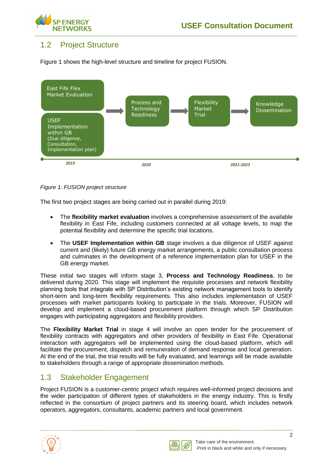

## <span id="page-4-0"></span>1.2 Project Structure

Figure 1 shows the high-level structure and timeline for project FUSION.



*Figure 1: FUSION project structure*

The first two project stages are being carried out in parallel during 2019:

- The **flexibility market evaluation** involves a comprehensive assessment of the available flexibility in East Fife, including customers connected at all voltage levels, to map the potential flexibility and determine the specific trial locations.
- The **USEF Implementation within GB** stage involves a due diligence of USEF against current and (likely) future GB energy market arrangements, a public consultation process and culminates in the development of a reference implementation plan for USEF in the GB energy market.

These initial two stages will inform stage 3, **Process and Technology Readiness**, to be delivered during 2020. This stage will implement the requisite processes and network flexibility planning tools that integrate with SP Distribution's existing network management tools to identify short-term and long-term flexibility requirements. This also includes implementation of USEF processes with market participants looking to participate in the trials. Moreover, FUSION will develop and implement a cloud-based procurement platform through which SP Distribution engages with participating aggregators and flexibility providers.

The **Flexibility Market Trial** in stage 4 will involve an open tender for the procurement of flexibility contracts with aggregators and other providers of flexibility in East Fife. Operational interaction with aggregators will be implemented using the cloud-based platform, which will facilitate the procurement, dispatch and remuneration of demand response and local generation. At the end of the trial, the trial results will be fully evaluated, and learnings will be made available to stakeholders through a range of appropriate dissemination methods.

## <span id="page-4-1"></span>1.3 Stakeholder Engagement

Project FUSION is a customer-centric project which requires well-informed project decisions and the wider participation of different types of stakeholders in the energy industry. This is firstly reflected in the consortium of project partners and its steering board, which includes network operators, aggregators, consultants, academic partners and local government.



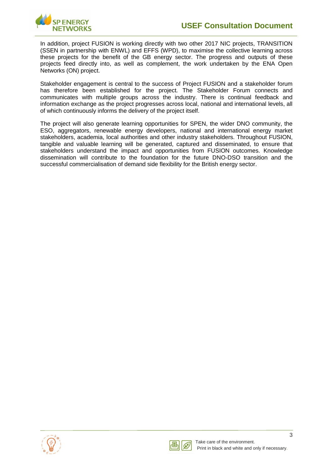In addition, project FUSION is working directly with two other 2017 NIC projects, TRANSITION (SSEN in partnership with ENWL) and EFFS (WPD), to maximise the collective learning across these projects for the benefit of the GB energy sector. The progress and outputs of these projects feed directly into, as well as complement, the work undertaken by the ENA Open Networks (ON) project.

Stakeholder engagement is central to the success of Project FUSION and a stakeholder forum has therefore been established for the project. The Stakeholder Forum connects and communicates with multiple groups across the industry. There is continual feedback and information exchange as the project progresses across local, national and international levels, all of which continuously informs the delivery of the project itself.

The project will also generate learning opportunities for SPEN, the wider DNO community, the ESO, aggregators, renewable energy developers, national and international energy market stakeholders, academia, local authorities and other industry stakeholders. Throughout FUSION, tangible and valuable learning will be generated, captured and disseminated, to ensure that stakeholders understand the impact and opportunities from FUSION outcomes. Knowledge dissemination will contribute to the foundation for the future DNO-DSO transition and the successful commercialisation of demand side flexibility for the British energy sector.



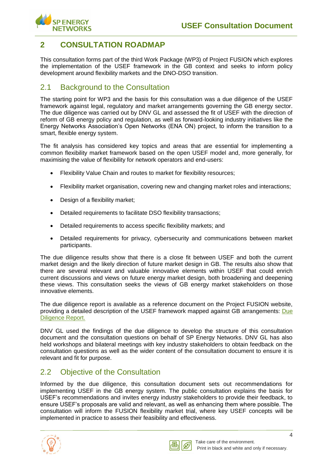

## <span id="page-6-0"></span>**2 CONSULTATION ROADMAP**

This consultation forms part of the third Work Package (WP3) of Project FUSION which explores the implementation of the USEF framework in the GB context and seeks to inform policy development around flexibility markets and the DNO-DSO transition.

## <span id="page-6-1"></span>2.1 Background to the Consultation

The starting point for WP3 and the basis for this consultation was a due diligence of the USEF framework against legal, regulatory and market arrangements governing the GB energy sector. The due diligence was carried out by DNV GL and assessed the fit of USEF with the direction of reform of GB energy policy and regulation, as well as forward-looking industry initiatives like the Energy Networks Association's Open Networks (ENA ON) project, to inform the transition to a smart, flexible energy system.

The fit analysis has considered key topics and areas that are essential for implementing a common flexibility market framework based on the open USEF model and, more generally, for maximising the value of flexibility for network operators and end-users:

- Flexibility Value Chain and routes to market for flexibility resources;
- Flexibility market organisation, covering new and changing market roles and interactions;
- Design of a flexibility market;
- Detailed requirements to facilitate DSO flexibility transactions;
- Detailed requirements to access specific flexibility markets; and
- Detailed requirements for privacy, cybersecurity and communications between market participants.

The due diligence results show that there is a close fit between USEF and both the current market design and the likely direction of future market design in GB. The results also show that there are several relevant and valuable innovative elements within USEF that could enrich current discussions and views on future energy market design, both broadening and deepening these views. This consultation seeks the views of GB energy market stakeholders on those innovative elements.

The due diligence report is available as a reference document on the Project FUSION website, providing a detailed description of the USEF framework mapped against GB arrangements: [Due](https://www.spenergynetworks.co.uk/userfiles/file/Project_Fusion_USEF_Due_Diligence_Report.pdf)  [Diligence Report.](https://www.spenergynetworks.co.uk/userfiles/file/Project_Fusion_USEF_Due_Diligence_Report.pdf)

DNV GL used the findings of the due diligence to develop the structure of this consultation document and the consultation questions on behalf of SP Energy Networks. DNV GL has also held workshops and bilateral meetings with key industry stakeholders to obtain feedback on the consultation questions as well as the wider content of the consultation document to ensure it is relevant and fit for purpose.

## <span id="page-6-2"></span>2.2 Objective of the Consultation

Informed by the due diligence, this consultation document sets out recommendations for implementing USEF in the GB energy system. The public consultation explains the basis for USEF's recommendations and invites energy industry stakeholders to provide their feedback, to ensure USEF's proposals are valid and relevant, as well as enhancing them where possible. The consultation will inform the FUSION flexibility market trial, where key USEF concepts will be implemented in practice to assess their feasibility and effectiveness.



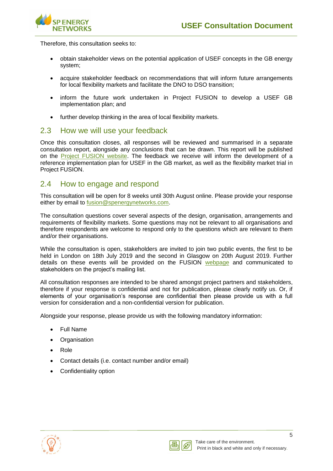

Therefore, this consultation seeks to:

- obtain stakeholder views on the potential application of USEF concepts in the GB energy system;
- acquire stakeholder feedback on recommendations that will inform future arrangements for local flexibility markets and facilitate the DNO to DSO transition;
- inform the future work undertaken in Project FUSION to develop a USEF GB implementation plan; and
- further develop thinking in the area of local flexibility markets.

### <span id="page-7-0"></span>2.3 How we will use your feedback

Once this consultation closes, all responses will be reviewed and summarised in a separate consultation report, alongside any conclusions that can be drawn. This report will be published on the [Project FUSION website.](https://www.spenergynetworks.co.uk/pages/fusion.aspx) The feedback we receive will inform the development of a reference implementation plan for USEF in the GB market, as well as the flexibility market trial in Project FUSION.

### <span id="page-7-1"></span>2.4 How to engage and respond

This consultation will be open for 8 weeks until 30th August online. Please provide your response either by email to [fusion@spenergynetworks.com.](mailto:fusion@spenergynetworks.com)

The consultation questions cover several aspects of the design, organisation, arrangements and requirements of flexibility markets. Some questions may not be relevant to all organisations and therefore respondents are welcome to respond only to the questions which are relevant to them and/or their organisations.

While the consultation is open, stakeholders are invited to join two public events, the first to be held in London on 18th July 2019 and the second in Glasgow on 20th August 2019. Further details on these events will be provided on the FUSION [webpage](https://www.spenergynetworks.co.uk/pages/fusion.aspx) and communicated to stakeholders on the project's mailing list.

All consultation responses are intended to be shared amongst project partners and stakeholders, therefore if your response is confidential and not for publication, please clearly notify us. Or, if elements of your organisation's response are confidential then please provide us with a full version for consideration and a non-confidential version for publication.

Alongside your response, please provide us with the following mandatory information:

- Full Name
- Organisation
- Role
- Contact details (i.e. contact number and/or email)
- Confidentiality option



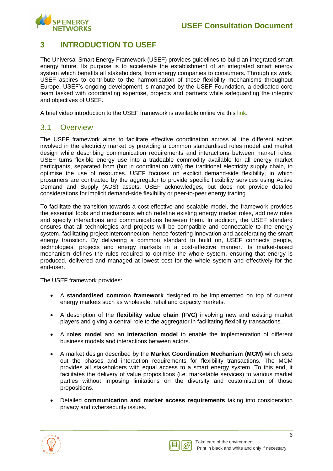

## <span id="page-8-0"></span>**3 INTRODUCTION TO USEF**

The Universal Smart Energy Framework (USEF) provides guidelines to build an integrated smart energy future. Its purpose is to accelerate the establishment of an integrated smart energy system which benefits all stakeholders, from energy companies to consumers. Through its work, USEF aspires to contribute to the harmonisation of these flexibility mechanisms throughout Europe. USEF's ongoing development is managed by the USEF Foundation, a dedicated core team tasked with coordinating expertise, projects and partners while safeguarding the integrity and objectives of USEF.

A brief video introduction to the USEF framework is available online via this [link.](https://www.youtube.com/watch?v=RYHzaVG0wuQ)

### <span id="page-8-1"></span>3.1 Overview

The USEF framework aims to facilitate effective coordination across all the different actors involved in the electricity market by providing a common standardised roles model and market design while describing communication requirements and interactions between market roles. USEF turns flexible energy use into a tradeable commodity available for all energy market participants, separated from (but in coordination with) the traditional electricity supply chain, to optimise the use of resources. USEF focuses on explicit demand-side flexibility, in which prosumers are contracted by the aggregator to provide specific flexibility services using Active Demand and Supply (ADS) assets. USEF acknowledges, but does not provide detailed considerations for implicit demand-side flexibility or peer-to-peer energy trading.

To facilitate the transition towards a cost-effective and scalable model, the framework provides the essential tools and mechanisms which redefine existing energy market roles, add new roles and specify interactions and communications between them. In addition, the USEF standard ensures that all technologies and projects will be compatible and connectable to the energy system, facilitating project interconnection, hence fostering innovation and accelerating the smart energy transition. By delivering a common standard to build on, USEF connects people, technologies, projects and energy markets in a cost-effective manner. Its market-based mechanism defines the rules required to optimise the whole system, ensuring that energy is produced, delivered and managed at lowest cost for the whole system and effectively for the end-user.

The USEF framework provides:

- A **standardised common framework** designed to be implemented on top of current energy markets such as wholesale, retail and capacity markets.
- A description of the **flexibility value chain (FVC)** involving new and existing market players and giving a central role to the aggregator in facilitating flexibility transactions.
- A **roles model** and an **interaction model** to enable the implementation of different business models and interactions between actors.
- A market design described by the **Market Coordination Mechanism (MCM)** which sets out the phases and interaction requirements for flexibility transactions. The MCM provides all stakeholders with equal access to a smart energy system. To this end, it facilitates the delivery of value propositions (i.e. marketable services) to various market parties without imposing limitations on the diversity and customisation of those propositions.
- Detailed **communication and market access requirements** taking into consideration privacy and cybersecurity issues.



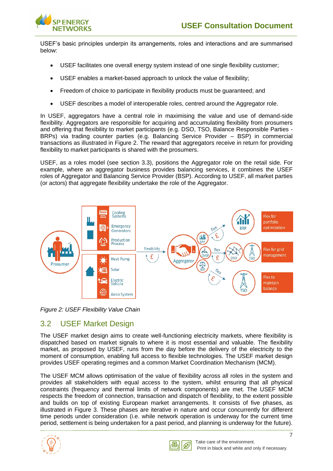USEF's basic principles underpin its arrangements, roles and interactions and are summarised below:

- USEF facilitates one overall energy system instead of one single flexibility customer;
- USEF enables a market-based approach to unlock the value of flexibility;
- Freedom of choice to participate in flexibility products must be quaranteed; and
- USEF describes a model of interoperable roles, centred around the Aggregator role.

In USEF, aggregators have a central role in maximising the value and use of demand-side flexibility. Aggregators are responsible for acquiring and accumulating flexibility from prosumers and offering that flexibility to market participants (e.g. DSO, TSO, Balance Responsible Parties - BRPs) via trading counter parties (e.g. Balancing Service Provider – BSP) in commercial transactions as illustrated in Figure 2. The reward that aggregators receive in return for providing flexibility to market participants is shared with the prosumers.

USEF, as a roles model (see section 3.3), positions the Aggregator role on the retail side. For example, where an aggregator business provides balancing services, it combines the USEF roles of Aggregator and Balancing Service Provider (BSP). According to USEF, all market parties (or actors) that aggregate flexibility undertake the role of the Aggregator.



*Figure 2: USEF Flexibility Value Chain*

## <span id="page-9-0"></span>3.2 USEF Market Design

The USEF market design aims to create well-functioning electricity markets, where flexibility is dispatched based on market signals to where it is most essential and valuable. The flexibility market, as proposed by USEF, runs from the day before the delivery of the electricity to the moment of consumption, enabling full access to flexible technologies. The USEF market design provides USEF operating regimes and a common Market Coordination Mechanism (MCM).

The USEF MCM allows optimisation of the value of flexibility across all roles in the system and provides all stakeholders with equal access to the system, whilst ensuring that all physical constraints (frequency and thermal limits of network components) are met. The USEF MCM respects the freedom of connection, transaction and dispatch of flexibility, to the extent possible and builds on top of existing European market arrangements. It consists of five phases, as illustrated in Figure 3. These phases are iterative in nature and occur concurrently for different time periods under consideration (i.e. while network operation is underway for the current time period, settlement is being undertaken for a past period, and planning is underway for the future).



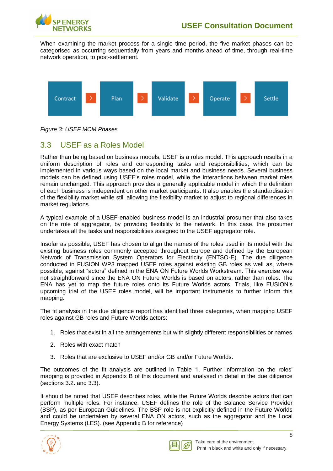

When examining the market process for a single time period, the five market phases can be categorised as occurring sequentially from years and months ahead of time, through real-time network operation, to post-settlement.



*Figure 3: USEF MCM Phases*

## <span id="page-10-0"></span>3.3 USEF as a Roles Model

Rather than being based on business models, USEF is a roles model. This approach results in a uniform description of roles and corresponding tasks and responsibilities, which can be implemented in various ways based on the local market and business needs. Several business models can be defined using USEF's roles model, while the interactions between market roles remain unchanged. This approach provides a generally applicable model in which the definition of each business is independent on other market participants. It also enables the standardisation of the flexibility market while still allowing the flexibility market to adjust to regional differences in market regulations.

A typical example of a USEF-enabled business model is an industrial prosumer that also takes on the role of aggregator, by providing flexibility to the network. In this case, the prosumer undertakes all the tasks and responsibilities assigned to the USEF aggregator role.

Insofar as possible, USEF has chosen to align the names of the roles used in its model with the existing business roles commonly accepted throughout Europe and defined by the European Network of Transmission System Operators for Electricity (ENTSO-E). The due diligence conducted in FUSION WP3 mapped USEF roles against existing GB roles as well as, where possible, against "actors" defined in the ENA ON Future Worlds Workstream. This exercise was not straightforward since the ENA ON Future Worlds is based on actors, rather than roles. The ENA has yet to map the future roles onto its Future Worlds actors. Trials, like FUSION's upcoming trial of the USEF roles model, will be important instruments to further inform this mapping.

The fit analysis in the due diligence report has identified three categories, when mapping USEF roles against GB roles and Future Worlds actors:

- 1. Roles that exist in all the arrangements but with slightly different responsibilities or names
- 2. Roles with exact match
- 3. Roles that are exclusive to USEF and/or GB and/or Future Worlds.

The outcomes of the fit analysis are outlined in Table 1. Further information on the roles' mapping is provided in Appendix B of this document and analysed in detail in the due diligence (sections 3.2. and 3.3).

It should be noted that USEF describes roles, while the Future Worlds describe actors that can perform multiple roles. For instance, USEF defines the role of the Balance Service Provider (BSP), as per European Guidelines. The BSP role is not explicitly defined in the Future Worlds and could be undertaken by several ENA ON actors, such as the aggregator and the Local Energy Systems (LES). (see Appendix B for reference)



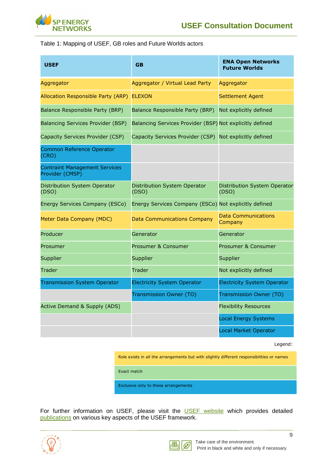

#### Table 1: Mapping of USEF, GB roles and Future Worlds actors

| <b>USEF</b>                                             | <b>GB</b>                                                | <b>ENA Open Networks</b><br><b>Future Worlds</b> |
|---------------------------------------------------------|----------------------------------------------------------|--------------------------------------------------|
| Aggregator                                              | Aggregator / Virtual Lead Party                          | Aggregator                                       |
| Allocation Responsible Party (ARP)                      | <b>ELEXON</b>                                            | <b>Settlement Agent</b>                          |
| Balance Responsible Party (BRP)                         | Balance Responsible Party (BRP)                          | Not explicitly defined                           |
| <b>Balancing Services Provider (BSP)</b>                | Balancing Services Provider (BSP) Not explicitly defined |                                                  |
| Capacity Services Provider (CSP)                        | Capacity Services Provider (CSP) Not explicitly defined  |                                                  |
| <b>Common Reference Operator</b><br>(CRO)               |                                                          |                                                  |
| <b>Contraint Management Services</b><br>Provider (CMSP) |                                                          |                                                  |
| Distribution System Operator<br>(DSO)                   | <b>Distribution System Operator</b><br>(DSO)             | Distribution System Operator<br>(DSO)            |
| Energy Services Company (ESCo)                          | Energy Services Company (ESCo) Not explicitly defined    |                                                  |
| Meter Data Company (MDC)                                | <b>Data Communications Company</b>                       | <b>Data Communications</b><br>Company            |
| Producer                                                | Generator                                                | Generator                                        |
| Prosumer                                                | Prosumer & Consumer                                      | Prosumer & Consumer                              |
| Supplier                                                | Supplier                                                 | Supplier                                         |
| <b>Trader</b>                                           | Trader                                                   | Not explicitly defined                           |
| <b>Transmission System Operator</b>                     | <b>Electricity System Operator</b>                       | <b>Electricity System Operator</b>               |
|                                                         | <b>Transmission Owner (TO)</b>                           | Transmission Owner (TO)                          |
| <b>Active Demand &amp; Supply (ADS)</b>                 |                                                          | <b>Flexibility Resources</b>                     |
|                                                         |                                                          | <b>Local Energy Systems</b>                      |
|                                                         |                                                          | <b>Local Market Operator</b>                     |

Legend:

Role exists in all the arrangements but with slightly different responsibilities or names

Exact match

Exclusive only to these arrangements

For further information on USEF, please visit the **[USEF website](https://www.usef.energy/)** which provides detailed [publications](https://www.usef.energy/news-events/publications/) on various key aspects of the USEF framework.

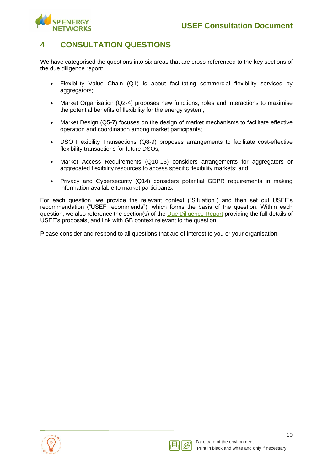

## <span id="page-12-0"></span>**4 CONSULTATION QUESTIONS**

We have categorised the questions into six areas that are cross-referenced to the key sections of the due diligence report:

- Flexibility Value Chain (Q1) is about facilitating commercial flexibility services by aggregators;
- Market Organisation (Q2-4) proposes new functions, roles and interactions to maximise the potential benefits of flexibility for the energy system;
- Market Design (Q5-7) focuses on the design of market mechanisms to facilitate effective operation and coordination among market participants;
- DSO Flexibility Transactions (Q8-9) proposes arrangements to facilitate cost-effective flexibility transactions for future DSOs;
- Market Access Requirements (Q10-13) considers arrangements for aggregators or aggregated flexibility resources to access specific flexibility markets; and
- Privacy and Cybersecurity (Q14) considers potential GDPR requirements in making information available to market participants.

For each question, we provide the relevant context ("Situation") and then set out USEF's recommendation ("USEF recommends"), which forms the basis of the question. Within each question, we also reference the section(s) of the [Due Diligence Report](https://www.spenergynetworks.co.uk/userfiles/file/Project_Fusion_USEF_Due_Diligence_Report.pdf) providing the full details of USEF's proposals, and link with GB context relevant to the question.

Please consider and respond to all questions that are of interest to you or your organisation.



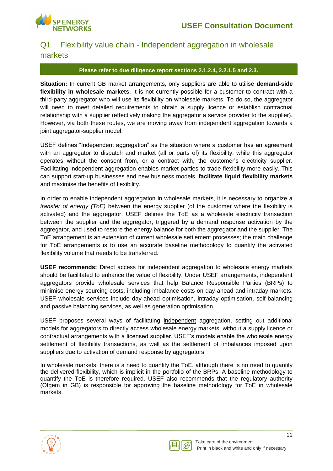

## <span id="page-13-0"></span>Q1 Flexibility value chain - Independent aggregation in wholesale markets

#### **Please refer to due diligence report sections 2.1.2.4, 2.2.1.5 and 2.3.**

**Situation:** In current GB market arrangements, only suppliers are able to utilise **demand-side flexibility in wholesale markets**. It is not currently possible for a customer to contract with a third-party aggregator who will use its flexibility on wholesale markets. To do so, the aggregator will need to meet detailed requirements to obtain a supply licence or establish contractual relationship with a supplier (effectively making the aggregator a service provider to the supplier). However, via both these routes, we are moving away from independent aggregation towards a joint aggregator-supplier model.

USEF defines "Independent aggregation" as the situation where a customer has an agreement with an aggregator to dispatch and market (all or parts of) its flexibility, while this aggregator operates without the consent from, or a contract with, the customer's electricity supplier. Facilitating independent aggregation enables market parties to trade flexibility more easily. This can support start-up businesses and new business models, **facilitate liquid flexibility markets** and maximise the benefits of flexibility.

In order to enable independent aggregation in wholesale markets, it is necessary to organize a *transfer of energy (ToE)* between the energy supplier (of the customer where the flexibility is activated) and the aggregator. USEF defines the ToE as a wholesale electricity transaction between the supplier and the aggregator, triggered by a demand response activation by the aggregator, and used to restore the energy balance for both the aggregator and the supplier. The ToE arrangement is an extension of current wholesale settlement processes; the main challenge for ToE arrangements is to use an accurate baseline methodology to quantify the activated flexibility volume that needs to be transferred.

**USEF recommends:** Direct access for independent aggregation to wholesale energy markets should be facilitated to enhance the value of flexibility. Under USEF arrangements, independent aggregators provide wholesale services that help Balance Responsible Parties (BRPs) to minimise energy sourcing costs, including imbalance costs on day-ahead and intraday markets. USEF wholesale services include day-ahead optimisation, intraday optimisation, self-balancing and passive balancing services, as well as generation optimisation.

USEF proposes several ways of facilitating independent aggregation, setting out additional models for aggregators to directly access wholesale energy markets, without a supply licence or contractual arrangements with a licensed supplier. USEF's models enable the wholesale energy settlement of flexibility transactions, as well as the settlement of imbalances imposed upon suppliers due to activation of demand response by aggregators.

In wholesale markets, there is a need to quantify the ToE, although there is no need to quantify the delivered flexibility, which is implicit in the portfolio of the BRPs. A baseline methodology to quantify the ToE is therefore required. USEF also recommends that the regulatory authority (Ofgem in GB) is responsible for approving the baseline methodology for ToE in wholesale markets.



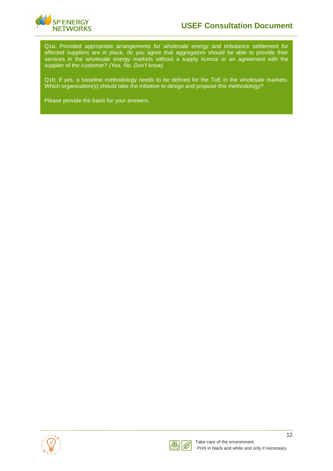

Q1a: Provided appropriate arrangements for wholesale energy and imbalance settlement for affected suppliers are in place, do you agree that aggregators should be able to provide their services in the wholesale energy markets without a supply licence or an agreement with the supplier of the customer? *(Yes, No, Don't know)*

Q1b: If yes, a baseline methodology needs to be defined for the ToE in the wholesale markets. Which organisation(s) should take the initiative to design and propose this methodology?



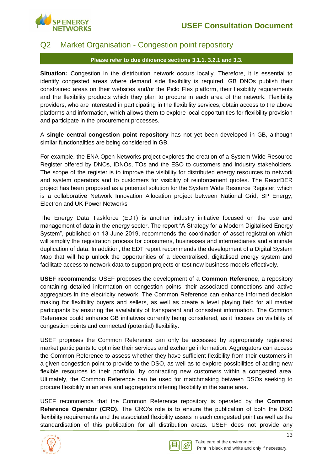

### <span id="page-15-0"></span>Q2 Market Organisation - Congestion point repository

#### **Please refer to due diligence sections 3.1.1, 3.2.1 and 3.3.**

**Situation:** Congestion in the distribution network occurs locally. Therefore, it is essential to identify congested areas where demand side flexibility is required. GB DNOs publish their constrained areas on their websites and/or the Piclo Flex platform, their flexibility requirements and the flexibility products which they plan to procure in each area of the network. Flexibility providers, who are interested in participating in the flexibility services, obtain access to the above platforms and information, which allows them to explore local opportunities for flexibility provision and participate in the procurement processes.

A **single central congestion point repository** has not yet been developed in GB, although similar functionalities are being considered in GB.

For example, the ENA Open Networks project explores the creation of a System Wide Resource Register offered by DNOs, IDNOs, TOs and the ESO to customers and industry stakeholders. The scope of the register is to improve the visibility for distributed energy resources to network and system operators and to customers for visibility of reinforcement quotes. The RecorDER project has been proposed as a potential solution for the System Wide Resource Register, which is a collaborative Network Innovation Allocation project between National Grid, SP Energy, Electron and UK Power Networks

The Energy Data Taskforce (EDT) is another industry initiative focused on the use and management of data in the energy sector. The report "A Strategy for a Modern Digitalised Energy System", published on 13 June 2019, recommends the coordination of asset registration which will simplify the registration process for consumers, businesses and intermediaries and eliminate duplication of data. In addition, the EDT report recommends the development of a Digital System Map that will help unlock the opportunities of a decentralised, digitalised energy system and facilitate access to network data to support projects or test new business models effectively.

**USEF recommends:** USEF proposes the development of a **Common Reference**, a repository containing detailed information on congestion points, their associated connections and active aggregators in the electricity network. The Common Reference can enhance informed decision making for flexibility buyers and sellers, as well as create a level playing field for all market participants by ensuring the availability of transparent and consistent information. The Common Reference could enhance GB initiatives currently being considered, as it focuses on visibility of congestion points and connected (potential) flexibility.

USEF proposes the Common Reference can only be accessed by appropriately registered market participants to optimise their services and exchange information. Aggregators can access the Common Reference to assess whether they have sufficient flexibility from their customers in a given congestion point to provide to the DSO, as well as to explore possibilities of adding new flexible resources to their portfolio, by contracting new customers within a congested area. Ultimately, the Common Reference can be used for matchmaking between DSOs seeking to procure flexibility in an area and aggregators offering flexibility in the same area.

USEF recommends that the Common Reference repository is operated by the **Common Reference Operator (CRO)**. The CRO's role is to ensure the publication of both the DSO flexibility requirements and the associated flexibility assets in each congested point as well as the standardisation of this publication for all distribution areas. USEF does not provide any



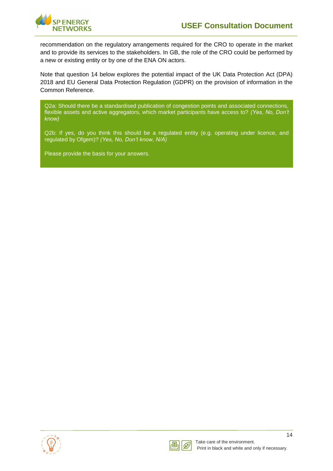

recommendation on the regulatory arrangements required for the CRO to operate in the market and to provide its services to the stakeholders. In GB, the role of the CRO could be performed by a new or existing entity or by one of the ENA ON actors.

Note that question 14 below explores the potential impact of the UK Data Protection Act (DPA) 2018 and EU General Data Protection Regulation (GDPR) on the provision of information in the Common Reference.

Q2a: Should there be a standardised publication of congestion points and associated connections, flexible assets and active aggregators, which market participants have access to? *(Yes, No, Don't know)*

Q2b: If yes, do you think this should be a regulated entity (e.g. operating under licence, and regulated by Ofgem)? *(Yes, No, Don't know, N/A)*



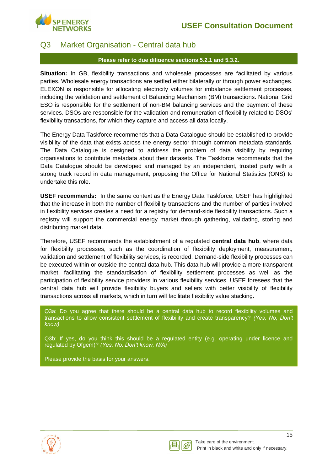

### <span id="page-17-0"></span>Q3 Market Organisation - Central data hub

#### **Please refer to due diligence sections 5.2.1 and 5.3.2.**

**Situation:** In GB, flexibility transactions and wholesale processes are facilitated by various parties. Wholesale energy transactions are settled either bilaterally or through power exchanges. ELEXON is responsible for allocating electricity volumes for imbalance settlement processes, including the validation and settlement of Balancing Mechanism (BM) transactions. National Grid ESO is responsible for the settlement of non-BM balancing services and the payment of these services. DSOs are responsible for the validation and remuneration of flexibility related to DSOs' flexibility transactions, for which they capture and access all data locally.

The Energy Data Taskforce recommends that a Data Catalogue should be established to provide visibility of the data that exists across the energy sector through common metadata standards. The Data Catalogue is designed to address the problem of data visibility by requiring organisations to contribute metadata about their datasets. The Taskforce recommends that the Data Catalogue should be developed and managed by an independent, trusted party with a strong track record in data management, proposing the Office for National Statistics (ONS) to undertake this role.

**USEF recommends:** In the same context as the Energy Data Taskforce, USEF has highlighted that the increase in both the number of flexibility transactions and the number of parties involved in flexibility services creates a need for a registry for demand-side flexibility transactions. Such a registry will support the commercial energy market through gathering, validating, storing and distributing market data.

Therefore, USEF recommends the establishment of a regulated **central data hub**, where data for flexibility processes, such as the coordination of flexibility deployment, measurement, validation and settlement of flexibility services, is recorded. Demand-side flexibility processes can be executed within or outside the central data hub. This data hub will provide a more transparent market, facilitating the standardisation of flexibility settlement processes as well as the participation of flexibility service providers in various flexibility services. USEF foresees that the central data hub will provide flexibility buyers and sellers with better visibility of flexibility transactions across all markets, which in turn will facilitate flexibility value stacking.

Q3a: Do you agree that there should be a central data hub to record flexibility volumes and transactions to allow consistent settlement of flexibility and create transparency? *(Yes, No, Don't know)*

Q3b: If yes, do you think this should be a regulated entity (e.g. operating under licence and regulated by Ofgem)? *(Yes, No, Don't know, N/A)*



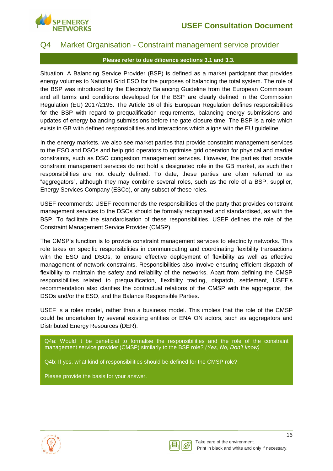

### <span id="page-18-0"></span>Q4 Market Organisation - Constraint management service provider

#### **Please refer to due diligence sections 3.1 and 3.3.**

Situation: A Balancing Service Provider (BSP) is defined as a market participant that provides energy volumes to National Grid ESO for the purposes of balancing the total system. The role of the BSP was introduced by the Electricity Balancing Guideline from the European Commission and all terms and conditions developed for the BSP are clearly defined in the Commission Regulation (EU) 2017/2195. The Article 16 of this European Regulation defines responsibilities for the BSP with regard to prequalification requirements, balancing energy submissions and updates of energy balancing submissions before the gate closure time. The BSP is a role which exists in GB with defined responsibilities and interactions which aligns with the EU guideline.

In the energy markets, we also see market parties that provide constraint management services to the ESO and DSOs and help grid operators to optimise grid operation for physical and market constraints, such as DSO congestion management services. However, the parties that provide constraint management services do not hold a designated role in the GB market, as such their responsibilities are not clearly defined. To date, these parties are often referred to as "aggregators", although they may combine several roles, such as the role of a BSP, supplier, Energy Services Company (ESCo), or any subset of these roles.

USEF recommends: USEF recommends the responsibilities of the party that provides constraint management services to the DSOs should be formally recognised and standardised, as with the BSP. To facilitate the standardisation of these responsibilities, USEF defines the role of the Constraint Management Service Provider (CMSP).

The CMSP's function is to provide constraint management services to electricity networks. This role takes on specific responsibilities in communicating and coordinating flexibility transactions with the ESO and DSOs, to ensure effective deployment of flexibility as well as effective management of network constraints. Responsibilities also involve ensuring efficient dispatch of flexibility to maintain the safety and reliability of the networks. Apart from defining the CMSP responsibilities related to prequalification, flexibility trading, dispatch, settlement, USEF's recommendation also clarifies the contractual relations of the CMSP with the aggregator, the DSOs and/or the ESO, and the Balance Responsible Parties.

USEF is a roles model, rather than a business model. This implies that the role of the CMSP could be undertaken by several existing entities or ENA ON actors, such as aggregators and Distributed Energy Resources (DER).

Q4a: Would it be beneficial to formalise the responsibilities and the role of the constraint management service provider (CMSP) similarly to the BSP role? *(Yes, No, Don't know)*

Q4b: If yes, what kind of responsibilities should be defined for the CMSP role?



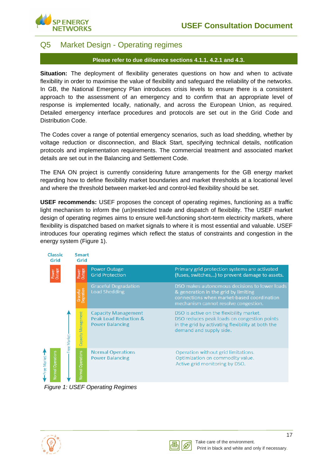

### <span id="page-19-0"></span>Q5 Market Design - Operating regimes

#### **Please refer to due diligence sections 4.1.1, 4.2.1 and 4.3.**

**Situation:** The deployment of flexibility generates questions on how and when to activate flexibility in order to maximise the value of flexibility and safeguard the reliability of the networks. In GB, the National Emergency Plan introduces crisis levels to ensure there is a consistent approach to the assessment of an emergency and to confirm that an appropriate level of response is implemented locally, nationally, and across the European Union, as required. Detailed emergency interface procedures and protocols are set out in the Grid Code and Distribution Code.

The Codes cover a range of potential emergency scenarios, such as load shedding, whether by voltage reduction or disconnection, and Black Start, specifying technical details, notification protocols and implementation requirements. The commercial treatment and associated market details are set out in the Balancing and Settlement Code.

The ENA ON project is currently considering future arrangements for the GB energy market regarding how to define flexibility market boundaries and market thresholds at a locational level and where the threshold between market-led and control-led flexibility should be set.

**USEF recommends:** USEF proposes the concept of operating regimes, functioning as a traffic light mechanism to inform the (un)restricted trade and dispatch of flexibility. The USEF market design of operating regimes aims to ensure well-functioning short-term electricity markets, where flexibility is dispatched based on market signals to where it is most essential and valuable. USEF introduces four operating regimes which reflect the status of constraints and congestion in the energy system [\(Figure 1\)](#page-19-1).



<span id="page-19-1"></span>*Figure 1: USEF Operating Regimes*



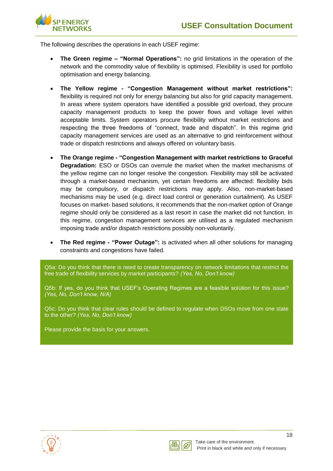

The following describes the operations in each USEF regime:

- **The Green regime – "Normal Operations":** no grid limitations in the operation of the network and the commodity value of flexibility is optimised. Flexibility is used for portfolio optimisation and energy balancing.
- **The Yellow regime - "Congestion Management without market restrictions":**  flexibility is required not only for energy balancing but also for grid capacity management. In areas where system operators have identified a possible grid overload, they procure capacity management products to keep the power flows and voltage level within acceptable limits. System operators procure flexibility without market restrictions and respecting the three freedoms of "connect, trade and dispatch". In this regime grid capacity management services are used as an alternative to grid reinforcement without trade or dispatch restrictions and always offered on voluntary basis.
- **The Orange regime - "Congestion Management with market restrictions to Graceful Degradation:** ESO or DSOs can overrule the market when the market mechanisms of the yellow regime can no longer resolve the congestion. Flexibility may still be activated through a market-based mechanism, yet certain freedoms are affected: flexibility bids may be compulsory, or dispatch restrictions may apply. Also, non-market-based mechanisms may be used (e.g. direct load control or generation curtailment). As USEF focuses on market- based solutions, it recommends that the non-market option of Orange regime should only be considered as a last resort in case the market did not function. In this regime, congestion management services are utilised as a regulated mechanism imposing trade and/or dispatch restrictions possibly non-voluntarily.
- **The Red regime - "Power Outage":** is activated when all other solutions for managing constraints and congestions have failed.

Q5a: Do you think that there is need to create transparency on network limitations that restrict the free trade of flexibility services by market participants? *(Yes, No, Don't know)*

Q5b: If yes, do you think that USEF's Operating Regimes are a feasible solution for this issue? *(Yes, No, Don't know, N/A)*

Q5c: Do you think that clear rules should be defined to regulate when DSOs move from one state to the other? *(Yes, No, Don't know)*



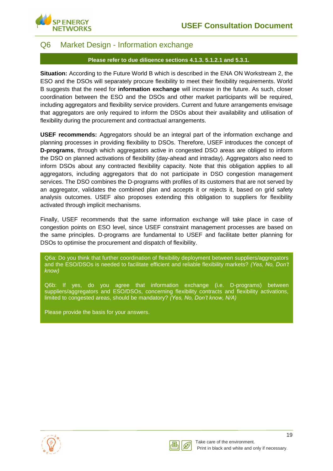

### <span id="page-21-0"></span>Q6 Market Design - Information exchange

#### **Please refer to due diligence sections 4.1.3, 5.1.2.1 and 5.3.1.**

**Situation:** According to the Future World B which is described in the ENA ON Workstream 2, the ESO and the DSOs will separately procure flexibility to meet their flexibility requirements. World B suggests that the need for **information exchange** will increase in the future. As such, closer coordination between the ESO and the DSOs and other market participants will be required, including aggregators and flexibility service providers. Current and future arrangements envisage that aggregators are only required to inform the DSOs about their availability and utilisation of flexibility during the procurement and contractual arrangements.

**USEF recommends:** Aggregators should be an integral part of the information exchange and planning processes in providing flexibility to DSOs. Therefore, USEF introduces the concept of **D-programs**, through which aggregators active in congested DSO areas are obliged to inform the DSO on planned activations of flexibility (day-ahead and intraday). Aggregators also need to inform DSOs about any contracted flexibility capacity. Note that this obligation applies to all aggregators, including aggregators that do not participate in DSO congestion management services. The DSO combines the D-programs with profiles of its customers that are not served by an aggregator, validates the combined plan and accepts it or rejects it, based on grid safety analysis outcomes. USEF also proposes extending this obligation to suppliers for flexibility activated through implicit mechanisms.

Finally, USEF recommends that the same information exchange will take place in case of congestion points on ESO level, since USEF constraint management processes are based on the same principles. D-programs are fundamental to USEF and facilitate better planning for DSOs to optimise the procurement and dispatch of flexibility.

Q6a: Do you think that further coordination of flexibility deployment between suppliers/aggregators and the ESO/DSOs is needed to facilitate efficient and reliable flexibility markets? *(Yes, No, Don't know)*

Q6b: If yes, do you agree that information exchange (i.e. D-programs) between suppliers/aggregators and ESO/DSOs, concerning flexibility contracts and flexibility activations, limited to congested areas, should be mandatory? *(Yes, No, Don't know, N/A)*



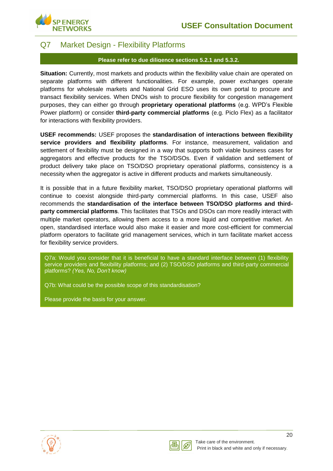

### <span id="page-22-0"></span>Q7 Market Design - Flexibility Platforms

#### **Please refer to due diligence sections 5.2.1 and 5.3.2.**

**Situation:** Currently, most markets and products within the flexibility value chain are operated on separate platforms with different functionalities. For example, power exchanges operate platforms for wholesale markets and National Grid ESO uses its own portal to procure and transact flexibility services. When DNOs wish to procure flexibility for congestion management purposes, they can either go through **proprietary operational platforms** (e.g. WPD's Flexible Power platform) or consider **third-party commercial platforms** (e.g. Piclo Flex) as a facilitator for interactions with flexibility providers.

**USEF recommends:** USEF proposes the **standardisation of interactions between flexibility service providers and flexibility platforms**. For instance, measurement, validation and settlement of flexibility must be designed in a way that supports both viable business cases for aggregators and effective products for the TSO/DSOs. Even if validation and settlement of product delivery take place on TSO/DSO proprietary operational platforms, consistency is a necessity when the aggregator is active in different products and markets simultaneously.

It is possible that in a future flexibility market, TSO/DSO proprietary operational platforms will continue to coexist alongside third-party commercial platforms. In this case, USEF also recommends the **standardisation of the interface between TSO/DSO platforms and thirdparty commercial platforms**. This facilitates that TSOs and DSOs can more readily interact with multiple market operators, allowing them access to a more liquid and competitive market. An open, standardised interface would also make it easier and more cost-efficient for commercial platform operators to facilitate grid management services, which in turn facilitate market access for flexibility service providers.

Q7a: Would you consider that it is beneficial to have a standard interface between (1) flexibility service providers and flexibility platforms; and (2) TSO/DSO platforms and third-party commercial platforms? *(Yes, No, Don't know)*

Q7b: What could be the possible scope of this standardisation?



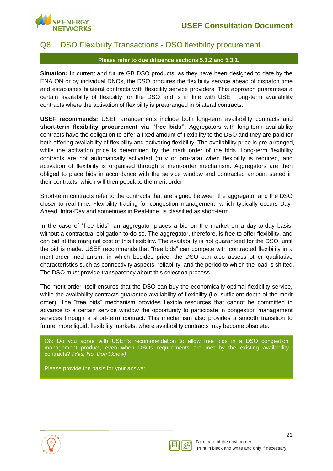

## <span id="page-23-0"></span>Q8 DSO Flexibility Transactions - DSO flexibility procurement

#### **Please refer to due diligence sections 5.1.2 and 5.3.1.**

**Situation:** In current and future GB DSO products, as they have been designed to date by the ENA ON or by individual DNOs, the DSO procures the flexibility service ahead of dispatch time and establishes bilateral contracts with flexibility service providers. This approach guarantees a certain availability of flexibility for the DSO and is in line with USEF long-term availability contracts where the activation of flexibility is prearranged in bilateral contracts.

**USEF recommends:** USEF arrangements include both long-term availability contracts and **short-term flexibility procurement via "free bids"**. Aggregators with long-term availability contracts have the obligation to offer a fixed amount of flexibility to the DSO and they are paid for both offering availability of flexibility and activating flexibility. The availability price is pre-arranged, while the activation price is determined by the merit order of the bids. Long-term flexibility contracts are not automatically activated (fully or pro-rata) when flexibility is required, and activation of flexibility is organised through a merit-order mechanism. Aggregators are then obliged to place bids in accordance with the service window and contracted amount stated in their contracts, which will then populate the merit order.

Short-term contracts refer to the contracts that are signed between the aggregator and the DSO closer to real-time. Flexibility trading for congestion management, which typically occurs Day-Ahead, Intra-Day and sometimes in Real-time, is classified as short-term.

In the case of "free bids", an aggregator places a bid on the market on a day-to-day basis, without a contractual obligation to do so. The aggregator, therefore, is free to offer flexibility, and can bid at the marginal cost of this flexibility. The availability is not guaranteed for the DSO, until the bid is made. USEF recommends that "free bids" can compete with contracted flexibility in a merit-order mechanism, in which besides price, the DSO can also assess other qualitative characteristics such as connectivity aspects, reliability, and the period to which the load is shifted. The DSO must provide transparency about this selection process.

The merit order itself ensures that the DSO can buy the economically optimal flexibility service, while the availability contracts guarantee availability of flexibility (i.e. sufficient depth of the merit order). The "free bids" mechanism provides flexible resources that cannot be committed in advance to a certain service window the opportunity to participate in congestion management services through a short-term contract. This mechanism also provides a smooth transition to future, more liquid, flexibility markets, where availability contracts may become obsolete.

Q8: Do you agree with USEF's recommendation to allow free bids in a DSO congestion management product, even when DSOs requirements are met by the existing availability contracts? *(Yes, No, Don't know)*



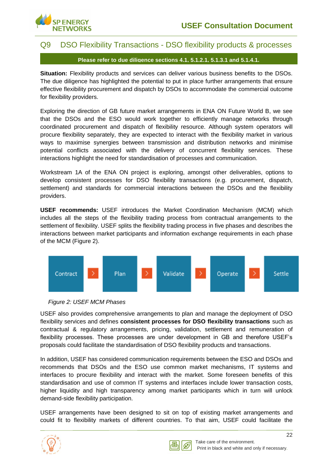

### <span id="page-24-0"></span>Q9 DSO Flexibility Transactions - DSO flexibility products & processes

#### **Please refer to due diligence sections 4.1, 5.1.2.1, 5.1.3.1 and 5.1.4.1.**

**Situation:** Flexibility products and services can deliver various business benefits to the DSOs. The due diligence has highlighted the potential to put in place further arrangements that ensure effective flexibility procurement and dispatch by DSOs to accommodate the commercial outcome for flexibility providers.

Exploring the direction of GB future market arrangements in ENA ON Future World B, we see that the DSOs and the ESO would work together to efficiently manage networks through coordinated procurement and dispatch of flexibility resource. Although system operators will procure flexibility separately, they are expected to interact with the flexibility market in various ways to maximise synergies between transmission and distribution networks and minimise potential conflicts associated with the delivery of concurrent flexibility services. These interactions highlight the need for standardisation of processes and communication.

Workstream 1A of the ENA ON project is exploring, amongst other deliverables, options to develop consistent processes for DSO flexibility transactions (e.g. procurement, dispatch, settlement) and standards for commercial interactions between the DSOs and the flexibility providers.

**USEF recommends:** USEF introduces the Market Coordination Mechanism (MCM) which includes all the steps of the flexibility trading process from contractual arrangements to the settlement of flexibility. USEF splits the flexibility trading process in five phases and describes the interactions between market participants and information exchange requirements in each phase of the MCM [\(Figure 2\)](#page-24-1).



<span id="page-24-1"></span>

USEF also provides comprehensive arrangements to plan and manage the deployment of DSO flexibility services and defines **consistent processes for DSO flexibility transactions** such as contractual & regulatory arrangements, pricing, validation, settlement and remuneration of flexibility processes. These processes are under development in GB and therefore USEF's proposals could facilitate the standardisation of DSO flexibility products and transactions.

In addition, USEF has considered communication requirements between the ESO and DSOs and recommends that DSOs and the ESO use common market mechanisms, IT systems and interfaces to procure flexibility and interact with the market. Some foreseen benefits of this standardisation and use of common IT systems and interfaces include lower transaction costs, higher liquidity and high transparency among market participants which in turn will unlock demand-side flexibility participation.

USEF arrangements have been designed to sit on top of existing market arrangements and could fit to flexibility markets of different countries. To that aim, USEF could facilitate the

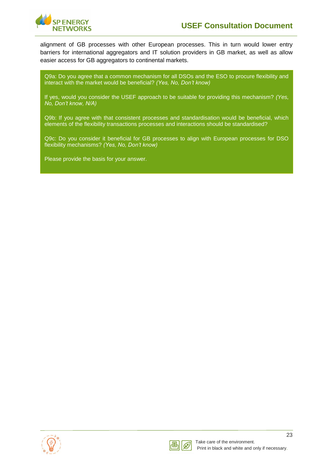

alignment of GB processes with other European processes. This in turn would lower entry barriers for international aggregators and IT solution providers in GB market, as well as allow easier access for GB aggregators to continental markets.

Q9a: Do you agree that a common mechanism for all DSOs and the ESO to procure flexibility and interact with the market would be beneficial? *(Yes, No, Don't know)*

If yes, would you consider the USEF approach to be suitable for providing this mechanism? *(Yes, No, Don't know, N/A)*

Q9b: If you agree with that consistent processes and standardisation would be beneficial, which elements of the flexibility transactions processes and interactions should be standardised?

Q9c: Do you consider it beneficial for GB processes to align with European processes for DSO flexibility mechanisms? *(Yes, No, Don't know)*



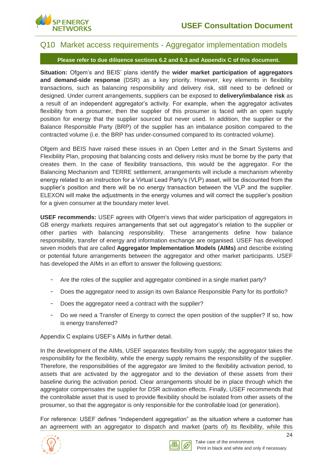

### <span id="page-26-0"></span>Q10 Market access requirements - Aggregator implementation models

**Please refer to due diligence sections 6.2 and 6.3 and Appendix C of this document.**

**Situation:** Ofgem's and BEIS' plans identify the **wider market participation of aggregators and demand-side response** (DSR) as a key priority. However, key elements in flexibility transactions, such as balancing responsibility and delivery risk, still need to be defined or designed. Under current arrangements, suppliers can be exposed to **delivery/imbalance risk** as a result of an independent aggregator's activity. For example, when the aggregator activates flexibility from a prosumer, then the supplier of this prosumer is faced with an open supply position for energy that the supplier sourced but never used. In addition, the supplier or the Balance Responsible Party (BRP) of the supplier has an imbalance position compared to the contracted volume (i.e. the BRP has under-consumed compared to its contracted volume).

Ofgem and BEIS have raised these issues in an Open Letter and in the Smart Systems and Flexibility Plan, proposing that balancing costs and delivery risks must be borne by the party that creates them. In the case of flexibility transactions, this would be the aggregator. For the Balancing Mechanism and TERRE settlement, arrangements will include a mechanism whereby energy related to an instruction for a Virtual Lead Party's (VLP) asset, will be discounted from the supplier's position and there will be no energy transaction between the VLP and the supplier. ELEXON will make the adjustments in the energy volumes and will correct the supplier's position for a given consumer at the boundary meter level.

**USEF recommends:** USEF agrees with Ofgem's views that wider participation of aggregators in GB energy markets requires arrangements that set out aggregator's relation to the supplier or other parties with balancing responsibility. These arrangements define how balance responsibility, transfer of energy and information exchange are organised. USEF has developed seven models that are called **Aggregator Implementation Models (AIMs)** and describe existing or potential future arrangements between the aggregator and other market participants. USEF has developed the AIMs in an effort to answer the following questions:

- Are the roles of the supplier and aggregator combined in a single market party?
- Does the aggregator need to assign its own Balance Responsible Party for its portfolio?
- Does the aggregator need a contract with the supplier?
- Do we need a Transfer of Energy to correct the open position of the supplier? If so, how is energy transferred?

Appendix C explains USEF's AIMs in further detail.

In the development of the AIMs, USEF separates flexibility from supply; the aggregator takes the responsibility for the flexibility, while the energy supply remains the responsibility of the supplier. Therefore, the responsibilities of the aggregator are limited to the flexibility activation period, to assets that are activated by the aggregator and to the deviation of these assets from their baseline during the activation period. Clear arrangements should be in place through which the aggregator compensates the supplier for DSR activation effects. Finally, USEF recommends that the controllable asset that is used to provide flexibility should be isolated from other assets of the prosumer, so that the aggregator is only responsible for the controllable load (or generation).

For reference: USEF defines "Independent aggregation" as the situation where a customer has an agreement with an aggregator to dispatch and market (parts of) its flexibility, while this



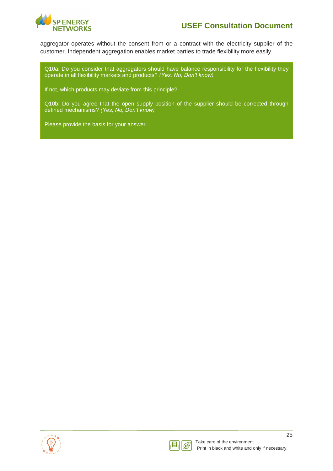

aggregator operates without the consent from or a contract with the electricity supplier of the customer. Independent aggregation enables market parties to trade flexibility more easily.

Q10a: Do you consider that aggregators should have balance responsibility for the flexibility they operate in all flexibility markets and products? *(Yes, No, Don't know)*

If not, which products may deviate from this principle?

Q10b: Do you agree that the open supply position of the supplier should be corrected through defined mechanisms? *(Yes, No, Don't know)*



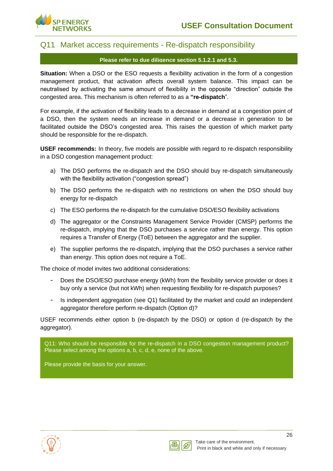

### <span id="page-28-0"></span>Q11 Market access requirements - Re-dispatch responsibility

#### **Please refer to due diligence section 5.1.2.1 and 5.3.**

**Situation:** When a DSO or the ESO requests a flexibility activation in the form of a congestion management product, that activation affects overall system balance. This impact can be neutralised by activating the same amount of flexibility in the opposite "direction" outside the congested area. This mechanism is often referred to as a **"re-dispatch**".

For example, if the activation of flexibility leads to a decrease in demand at a congestion point of a DSO, then the system needs an increase in demand or a decrease in generation to be facilitated outside the DSO's congested area. This raises the question of which market party should be responsible for the re-dispatch.

**USEF recommends:** In theory, five models are possible with regard to re-dispatch responsibility in a DSO congestion management product:

- a) The DSO performs the re-dispatch and the DSO should buy re-dispatch simultaneously with the flexibility activation ("congestion spread")
- b) The DSO performs the re-dispatch with no restrictions on when the DSO should buy energy for re-dispatch
- c) The ESO performs the re-dispatch for the cumulative DSO/ESO flexibility activations
- d) The aggregator or the Constraints Management Service Provider (CMSP) performs the re-dispatch, implying that the DSO purchases a service rather than energy. This option requires a Transfer of Energy (ToE) between the aggregator and the supplier.
- e) The supplier performs the re-dispatch, implying that the DSO purchases a service rather than energy. This option does not require a ToE.

The choice of model invites two additional considerations:

- Does the DSO/ESO purchase energy (kWh) from the flexibility service provider or does it buy only a service (but not kWh) when requesting flexibility for re-dispatch purposes?
- Is independent aggregation (see Q1) facilitated by the market and could an independent aggregator therefore perform re-dispatch (Option d)?

USEF recommends either option b (re-dispatch by the DSO) or option d (re-dispatch by the aggregator).

Q11: Who should be responsible for the re-dispatch in a DSO congestion management product? Please select among the options a, b, c, d, e, none of the above.



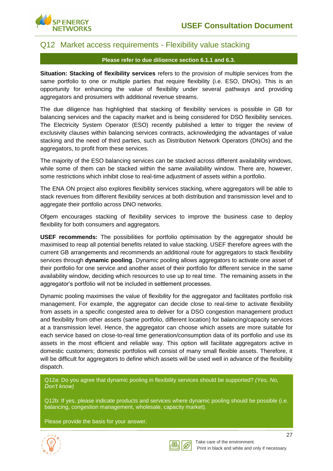

### <span id="page-29-0"></span>Q12 Market access requirements - Flexibility value stacking

#### **Please refer to due diligence section 6.1.1 and 6.3.**

**Situation: Stacking of flexibility services** refers to the provision of multiple services from the same portfolio to one or multiple parties that require flexibility (i.e. ESO, DNOs). This is an opportunity for enhancing the value of flexibility under several pathways and providing aggregators and prosumers with additional revenue streams.

The due diligence has highlighted that stacking of flexibility services is possible in GB for balancing services and the capacity market and is being considered for DSO flexibility services. The Electricity System Operator (ESO) recently published a letter to trigger the review of exclusivity clauses within balancing services contracts, acknowledging the advantages of value stacking and the need of third parties, such as Distribution Network Operators (DNOs) and the aggregators, to profit from these services.

The majority of the ESO balancing services can be stacked across different availability windows, while some of them can be stacked within the same availability window. There are, however, some restrictions which inhibit close to real-time adjustment of assets within a portfolio.

The ENA ON project also explores flexibility services stacking, where aggregators will be able to stack revenues from different flexibility services at both distribution and transmission level and to aggregate their portfolio across DNO networks.

Ofgem encourages stacking of flexibility services to improve the business case to deploy flexibility for both consumers and aggregators.

**USEF recommends:** The possibilities for portfolio optimisation by the aggregator should be maximised to reap all potential benefits related to value stacking. USEF therefore agrees with the current GB arrangements and recommends an additional route for aggregators to stack flexibility services through **dynamic pooling**. Dynamic pooling allows aggregators to activate one asset of their portfolio for one service and another asset of their portfolio for different service in the same availability window, deciding which resources to use up to real time. The remaining assets in the aggregator's portfolio will not be included in settlement processes.

Dynamic pooling maximises the value of flexibility for the aggregator and facilitates portfolio risk management. For example, the aggregator can decide close to real-time to activate flexibility from assets in a specific congested area to deliver for a DSO congestion management product and flexibility from other assets (same portfolio, different location) for balancing/capacity services at a transmission level. Hence, the aggregator can choose which assets are more suitable for each service based on close-to-real time generation/consumption data of its portfolio and use its assets in the most efficient and reliable way. This option will facilitate aggregators active in domestic customers; domestic portfolios will consist of many small flexible assets. Therefore, it will be difficult for aggregators to define which assets will be used well in advance of the flexibility dispatch.

Q12a: Do you agree that dynamic pooling in flexibility services should be supported? *(Yes, No, Don't know)*

Q12b: If yes, please indicate products and services where dynamic pooling should be possible (i.e. balancing, congestion management, wholesale, capacity market).



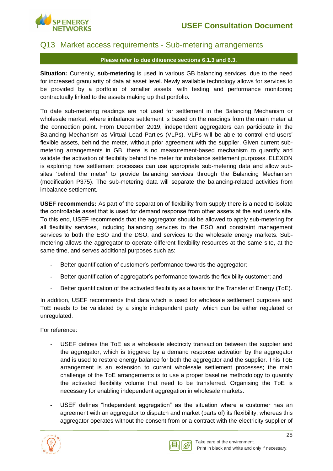

### <span id="page-30-0"></span>Q13 Market access requirements - Sub-metering arrangements

#### **Please refer to due diligence sections 6.1.3 and 6.3.**

**Situation:** Currently, **sub-metering** is used in various GB balancing services, due to the need for increased granularity of data at asset level. Newly available technology allows for services to be provided by a portfolio of smaller assets, with testing and performance monitoring contractually linked to the assets making up that portfolio.

To date sub-metering readings are not used for settlement in the Balancing Mechanism or wholesale market, where imbalance settlement is based on the readings from the main meter at the connection point. From December 2019, independent aggregators can participate in the Balancing Mechanism as Virtual Lead Parties (VLPs). VLPs will be able to control end-users' flexible assets, behind the meter, without prior agreement with the supplier. Given current submetering arrangements in GB, there is no measurement-based mechanism to quantify and validate the activation of flexibility behind the meter for imbalance settlement purposes. ELEXON is exploring how settlement processes can use appropriate sub-metering data and allow subsites 'behind the meter' to provide balancing services through the Balancing Mechanism (modification P375). The sub-metering data will separate the balancing-related activities from imbalance settlement.

**USEF recommends:** As part of the separation of flexibility from supply there is a need to isolate the controllable asset that is used for demand response from other assets at the end user's site. To this end, USEF recommends that the aggregator should be allowed to apply sub-metering for all flexibility services, including balancing services to the ESO and constraint management services to both the ESO and the DSO, and services to the wholesale energy markets. Submetering allows the aggregator to operate different flexibility resources at the same site, at the same time, and serves additional purposes such as:

- Better quantification of customer's performance towards the aggregator;
- Better quantification of aggregator's performance towards the flexibility customer; and
- Better quantification of the activated flexibility as a basis for the Transfer of Energy (ToE).

In addition, USEF recommends that data which is used for wholesale settlement purposes and ToE needs to be validated by a single independent party, which can be either regulated or unregulated.

For reference:

- USEF defines the ToE as a wholesale electricity transaction between the supplier and the aggregator, which is triggered by a demand response activation by the aggregator and is used to restore energy balance for both the aggregator and the supplier. This ToE arrangement is an extension to current wholesale settlement processes; the main challenge of the ToE arrangements is to use a proper baseline methodology to quantify the activated flexibility volume that need to be transferred. Organising the ToE is necessary for enabling independent aggregation in wholesale markets.
- USEF defines "Independent aggregation" as the situation where a customer has an agreement with an aggregator to dispatch and market (parts of) its flexibility, whereas this aggregator operates without the consent from or a contract with the electricity supplier of



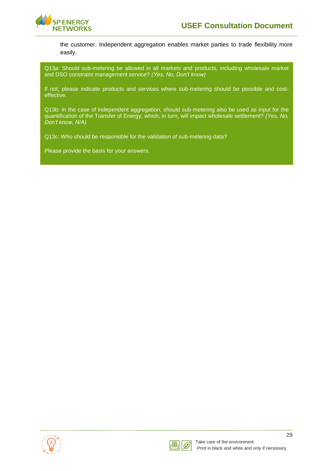

the customer. Independent aggregation enables market parties to trade flexibility more easily.

Q13a: Should sub-metering be allowed in all markets and products, including wholesale market and DSO constraint management service? *(Yes, No, Don't know)*

If not, please indicate products and services where sub-metering should be possible and costeffective.

Q13b: In the case of independent aggregation, should sub-metering also be used as input for the quantification of the Transfer of Energy, which, in turn, will impact wholesale settlement? *(Yes, No, Don't know, N/A)*

Q13c: Who should be responsible for the validation of sub-metering data?



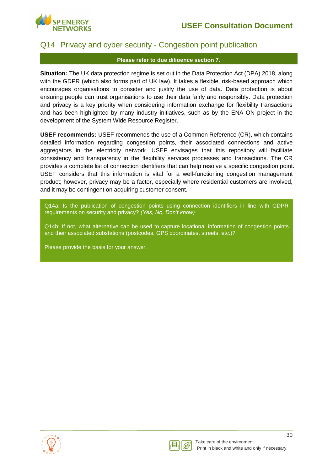

## <span id="page-32-0"></span>Q14 Privacy and cyber security - Congestion point publication

#### **Please refer to due diligence section 7.**

**Situation:** The UK data protection regime is set out in the Data Protection Act (DPA) 2018, along with the GDPR (which also forms part of UK law). It takes a flexible, risk-based approach which encourages organisations to consider and justify the use of data. Data protection is about ensuring people can trust organisations to use their data fairly and responsibly. Data protection and privacy is a key priority when considering information exchange for flexibility transactions and has been highlighted by many industry initiatives, such as by the ENA ON project in the development of the System Wide Resource Register.

**USEF recommends:** USEF recommends the use of a Common Reference (CR), which contains detailed information regarding congestion points, their associated connections and active aggregators in the electricity network. USEF envisages that this repository will facilitate consistency and transparency in the flexibility services processes and transactions. The CR provides a complete list of connection identifiers that can help resolve a specific congestion point. USEF considers that this information is vital for a well-functioning congestion management product; however, privacy may be a factor, especially where residential customers are involved, and it may be contingent on acquiring customer consent.

Q14a: Is the publication of congestion points using connection identifiers in line with GDPR requirements on security and privacy? *(Yes, No, Don't know)*

Q14b: If not, what alternative can be used to capture locational information of congestion points and their associated substations (postcodes, GPS coordinates, streets, etc.)?



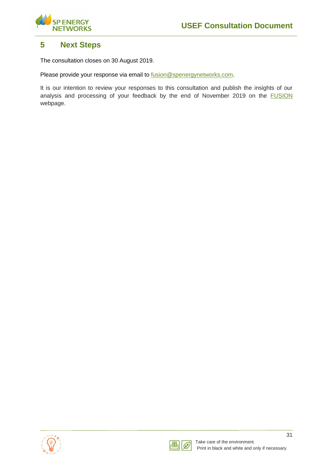

## <span id="page-33-0"></span>**5 Next Steps**

The consultation closes on 30 August 2019.

Please provide your response via email to [fusion@spenergynetworks.com.](mailto:fusion@spenergynetworks.com)

It is our intention to review your responses to this consultation and publish the insights of our analysis and processing of your feedback by the end of November 2019 on the [FUSION](https://www.spenergynetworks.co.uk/pages/fusion.aspx) webpage.



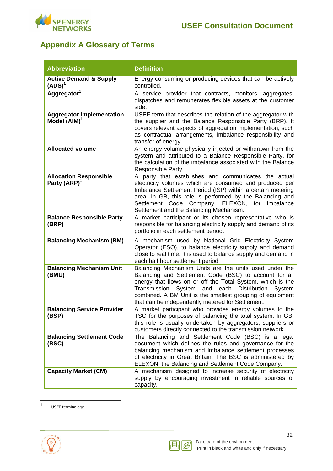

# <span id="page-34-0"></span>**Appendix A Glossary of Terms**

<span id="page-34-1"></span>

| <b>Abbreviation</b>                                       | <b>Definition</b>                                                                                                                                                                                                                                                                                                                                                   |
|-----------------------------------------------------------|---------------------------------------------------------------------------------------------------------------------------------------------------------------------------------------------------------------------------------------------------------------------------------------------------------------------------------------------------------------------|
| <b>Active Demand &amp; Supply</b><br>(ADS) <sup>1</sup>   | Energy consuming or producing devices that can be actively<br>controlled.                                                                                                                                                                                                                                                                                           |
| Aggregator <sup>1</sup>                                   | A service provider that contracts, monitors, aggregates,<br>dispatches and remunerates flexible assets at the customer<br>side.                                                                                                                                                                                                                                     |
| <b>Aggregator Implementation</b><br>Model $(AIM)^T$       | USEF term that describes the relation of the aggregator with<br>the supplier and the Balance Responsible Party (BRP). It<br>covers relevant aspects of aggregation implementation, such<br>as contractual arrangements, imbalance responsibility and<br>transfer of energy.                                                                                         |
| <b>Allocated volume</b>                                   | An energy volume physically injected or withdrawn from the<br>system and attributed to a Balance Responsible Party, for<br>the calculation of the imbalance associated with the Balance<br>Responsible Party.                                                                                                                                                       |
| <b>Allocation Responsible</b><br>Party (ARP) <sup>1</sup> | A party that establishes and communicates the actual<br>electricity volumes which are consumed and produced per<br>Imbalance Settlement Period (ISP) within a certain metering<br>area. In GB, this role is performed by the Balancing and<br>Settlement Code Company, ELEXON, for Imbalance<br>Settlement and the Balancing Mechanism.                             |
| <b>Balance Responsible Party</b><br>(BRP)                 | A market participant or its chosen representative who is<br>responsible for balancing electricity supply and demand of its<br>portfolio in each settlement period.                                                                                                                                                                                                  |
| <b>Balancing Mechanism (BM)</b>                           | A mechanism used by National Grid Electricity System<br>Operator (ESO), to balance electricity supply and demand<br>close to real time. It is used to balance supply and demand in<br>each half hour settlement period.                                                                                                                                             |
| <b>Balancing Mechanism Unit</b><br>(BMU)                  | Balancing Mechanism Units are the units used under the<br>Balancing and Settlement Code (BSC) to account for all<br>energy that flows on or off the Total System, which is the<br>System<br>each<br>Distribution<br>Transmission<br>and<br>System<br>combined. A BM Unit is the smallest grouping of equipment<br>that can be independently metered for Settlement. |
| <b>Balancing Service Provider</b><br>(BSP)                | A market participant who provides energy volumes to the<br>TSO for the purposes of balancing the total system. In GB,<br>this role is usually undertaken by aggregators, suppliers or<br>customers directly connected to the transmission network.                                                                                                                  |
| <b>Balancing Settlement Code</b><br>(BSC)                 | The Balancing and Settlement Code (BSC) is a legal<br>document which defines the rules and governance for the<br>balancing mechanism and imbalance settlement processes<br>of electricity in Great Britain. The BSC is administered by<br>ELEXON, the Balancing and Settlement Code Company.                                                                        |
| <b>Capacity Market (CM)</b>                               | A mechanism designed to increase security of electricity<br>supply by encouraging investment in reliable sources of<br>capacity.                                                                                                                                                                                                                                    |

 $\frac{1}{1}$ USEF terminology

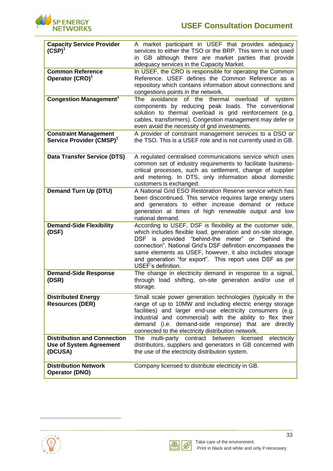

| <b>Capacity Service Provider</b><br>$(CSP)^1$                                   | A market participant in USEF that provides adequacy<br>services to either the TSO or the BRP. This term is not used<br>in GB although there are market parties that provide<br>adequacy services in the Capacity Market.                                                                                                                                                                          |
|---------------------------------------------------------------------------------|---------------------------------------------------------------------------------------------------------------------------------------------------------------------------------------------------------------------------------------------------------------------------------------------------------------------------------------------------------------------------------------------------|
| <b>Common Reference</b><br>Operator (CRO) <sup>1</sup>                          | In USEF, the CRO is responsible for operating the Common<br>Reference. USEF defines the Common Reference as a<br>repository which contains information about connections and<br>congestions points in the network.                                                                                                                                                                                |
| <b>Congestion Management<sup>1</sup></b>                                        | The<br>avoidance<br>of the<br>thermal<br>overload<br>of<br>system<br>components by reducing peak loads. The conventional<br>solution to thermal overload is grid reinforcement (e.g.<br>cables, transformers). Congestion management may defer or<br>even avoid the necessity of grid investments.                                                                                                |
| <b>Constraint Management</b><br>Service Provider (CMSP) <sup>1</sup>            | A provider of constraint management services to a DSO or<br>the TSO. This is a USEF role and is not currently used in GB.                                                                                                                                                                                                                                                                         |
| <b>Data Transfer Service (DTS)</b>                                              | A regulated centralised communications service which uses<br>common set of industry requirements to facilitate business-<br>critical processes, such as settlement, change of supplier<br>and metering. In DTS, only information about domestic<br>customers is exchanged.                                                                                                                        |
| <b>Demand Turn Up (DTU)</b>                                                     | A National Grid ESO Restoration Reserve service which has<br>been discontinued. This service requires large energy users<br>and generators to either increase demand or reduce<br>generation at times of high renewable output and low<br>national demand.                                                                                                                                        |
| <b>Demand-Side Flexibility</b><br>(DSF)                                         | According to USEF, DSF is flexibility at the customer side,<br>which includes flexible load, generation and on-site storage.<br>DSF is provided "behind-the meter" or "behind<br>the<br>connection". National Grid's DSF definition encompasses the<br>same elements as USEF, however, it also includes storage<br>and generation "for export". This report uses DSF as per<br>USEF's definition. |
| <b>Demand-Side Response</b><br>(DSR)                                            | The change in electricity demand in response to a signal,<br>through load shifting, on-site generation and/or use of<br>storage.                                                                                                                                                                                                                                                                  |
| <b>Distributed Energy</b><br><b>Resources (DER)</b>                             | Small scale power generation technologies (typically in the<br>range of up to 10MW and including electric energy storage<br>facilities) and larger end-use electricity consumers (e.g.<br>industrial and commercial) with the ability to flex their<br>demand (i.e. demand-side response) that are directly<br>connected to the electricity distribution network.                                 |
| <b>Distribution and Connection</b><br><b>Use of System Agreement</b><br>(DCUSA) | licensed<br>multi-party<br>contract<br>between<br>electricity<br>The<br>distributors, suppliers and generators in GB concerned with<br>the use of the electricity distribution system.                                                                                                                                                                                                            |
| <b>Distribution Network</b><br><b>Operator (DNO)</b>                            | Company licensed to distribute electricity in GB.                                                                                                                                                                                                                                                                                                                                                 |



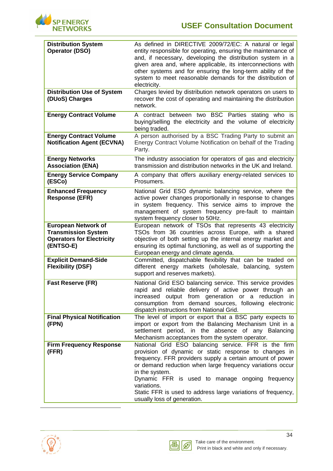

| <b>Distribution System</b><br><b>Operator (DSO)</b>                                                       | As defined in DIRECTIVE 2009/72/EC: A natural or legal<br>entity responsible for operating, ensuring the maintenance of<br>and, if necessary, developing the distribution system in a<br>given area and, where applicable, its interconnections with<br>other systems and for ensuring the long-term ability of the<br>system to meet reasonable demands for the distribution of<br>electricity.                           |
|-----------------------------------------------------------------------------------------------------------|----------------------------------------------------------------------------------------------------------------------------------------------------------------------------------------------------------------------------------------------------------------------------------------------------------------------------------------------------------------------------------------------------------------------------|
| <b>Distribution Use of System</b><br>(DUoS) Charges                                                       | Charges levied by distribution network operators on users to<br>recover the cost of operating and maintaining the distribution<br>network.                                                                                                                                                                                                                                                                                 |
| <b>Energy Contract Volume</b>                                                                             | A contract between two BSC Parties stating who is<br>buying/selling the electricity and the volume of electricity<br>being traded.                                                                                                                                                                                                                                                                                         |
| <b>Energy Contract Volume</b><br><b>Notification Agent (ECVNA)</b>                                        | A person authorised by a BSC Trading Party to submit an<br>Energy Contract Volume Notification on behalf of the Trading<br>Party.                                                                                                                                                                                                                                                                                          |
| <b>Energy Networks</b><br><b>Association (ENA)</b>                                                        | The industry association for operators of gas and electricity<br>transmission and distribution networks in the UK and Ireland.                                                                                                                                                                                                                                                                                             |
| <b>Energy Service Company</b><br>(ESCo)                                                                   | A company that offers auxiliary energy-related services to<br>Prosumers.                                                                                                                                                                                                                                                                                                                                                   |
| <b>Enhanced Frequency</b><br><b>Response (EFR)</b>                                                        | National Grid ESO dynamic balancing service, where the<br>active power changes proportionally in response to changes<br>in system frequency. This service aims to improve the<br>management of system frequency pre-fault to maintain<br>system frequency closer to 50Hz.                                                                                                                                                  |
| <b>European Network of</b><br><b>Transmission System</b><br><b>Operators for Electricity</b><br>(ENTSO-E) | European network of TSOs that represents 43 electricity<br>TSOs from 36 countries across Europe, with a shared<br>objective of both setting up the internal energy market and<br>ensuring its optimal functioning, as well as of supporting the<br>European energy and climate agenda.                                                                                                                                     |
| <b>Explicit Demand-Side</b><br><b>Flexibility (DSF)</b>                                                   | Committed, dispatchable flexibility that can be traded on<br>different energy markets (wholesale, balancing, system<br>support and reserves markets).                                                                                                                                                                                                                                                                      |
| <b>Fast Reserve (FR)</b>                                                                                  | National Grid ESO balancing service. This service provides<br>rapid and reliable delivery of active power through an<br>output from generation or a<br>reduction<br>increased<br>- in<br>consumption from demand sources, following electronic<br>dispatch instructions from National Grid.                                                                                                                                |
| <b>Final Physical Notification</b><br>(FPN)                                                               | The level of import or export that a BSC party expects to<br>import or export from the Balancing Mechanism Unit in a<br>settlement period, in the absence of any Balancing<br>Mechanism acceptances from the system operator.                                                                                                                                                                                              |
| <b>Firm Frequency Response</b><br>(FFR)                                                                   | National Grid ESO balancing service. FFR is the firm<br>provision of dynamic or static response to changes in<br>frequency. FFR providers supply a certain amount of power<br>or demand reduction when large frequency variations occur<br>in the system.<br>Dynamic FFR is used to manage ongoing frequency<br>variations.<br>Static FFR is used to address large variations of frequency,<br>usually loss of generation. |

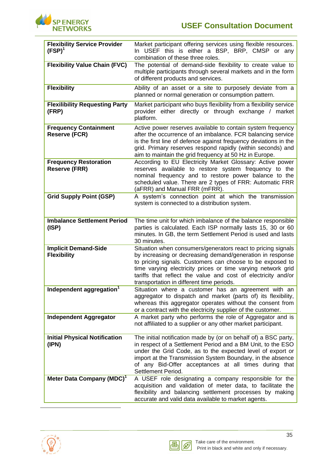

| <b>Flexibility Service Provider</b><br>$(FSP)^1$     | Market participant offering services using flexible resources.<br>In USEF this is either a BSP, BRP, CMSP or any<br>combination of these three roles.                                                                                                                                                                                                                |
|------------------------------------------------------|----------------------------------------------------------------------------------------------------------------------------------------------------------------------------------------------------------------------------------------------------------------------------------------------------------------------------------------------------------------------|
| <b>Flexibility Value Chain (FVC)</b>                 | The potential of demand-side flexibility to create value to<br>multiple participants through several markets and in the form<br>of different products and services.                                                                                                                                                                                                  |
| <b>Flexibility</b>                                   | Ability of an asset or a site to purposely deviate from a<br>planned or normal generation or consumption pattern.                                                                                                                                                                                                                                                    |
| <b>Flexilibility Requesting Party</b><br>(FRP)       | Market participant who buys flexibility from a flexibility service<br>provider either directly or through exchange / market<br>platform.                                                                                                                                                                                                                             |
| <b>Frequency Containment</b><br><b>Reserve (FCR)</b> | Active power reserves available to contain system frequency<br>after the occurrence of an imbalance. FCR balancing service<br>is the first line of defence against frequency deviations in the<br>grid. Primary reserves respond rapidly (within seconds) and<br>aim to maintain the grid frequency at 50 Hz in Europe.                                              |
| <b>Frequency Restoration</b><br><b>Reserve (FRR)</b> | According to EU Electricity Market Glossary: Active power<br>reserves available to restore system frequency to the<br>nominal frequency and to restore power balance to the<br>scheduled value. There are 2 types of FRR: Automatic FRR<br>(aFRR) and Manual FRR (mFRR).                                                                                             |
| <b>Grid Supply Point (GSP)</b>                       | A system's connection point at which the transmission<br>system is connected to a distribution system.                                                                                                                                                                                                                                                               |
| <b>Imbalance Settlement Period</b><br>(ISP)          | The time unit for which imbalance of the balance responsible<br>parties is calculated. Each ISP normally lasts 15, 30 or 60<br>minutes. In GB, the term Settlement Period is used and lasts<br>30 minutes.                                                                                                                                                           |
| <b>Implicit Demand-Side</b><br><b>Flexibility</b>    | Situation when consumers/generators react to pricing signals<br>by increasing or decreasing demand/generation in response<br>to pricing signals. Customers can choose to be exposed to<br>time varying electricity prices or time varying network grid<br>tariffs that reflect the value and cost of electricity and/or<br>transportation in different time periods. |
| Independent aggregation <sup>1</sup>                 | Situation where a customer has an agreement with an<br>aggregator to dispatch and market (parts of) its flexibility,<br>whereas this aggregator operates without the consent from<br>or a contract with the electricity supplier of the customer.                                                                                                                    |
| <b>Independent Aggregator</b>                        | A market party who performs the role of Aggregator and is<br>not affiliated to a supplier or any other market participant.                                                                                                                                                                                                                                           |
| <b>Initial Physical Notification</b><br>(IPN)        | The initial notification made by (or on behalf of) a BSC party,<br>in respect of a Settlement Period and a BM Unit, to the ESO<br>under the Grid Code, as to the expected level of export or<br>import at the Transmission System Boundary, in the absence<br>of any Bid-Offer acceptances at all times during that<br>Settlement Period.                            |
| Meter Data Company (MDC) <sup>1</sup>                | A USEF role designating a company responsible for the<br>acquisition and validation of meter data, to facilitate the<br>flexibility and balancing settlement processes by making<br>accurate and valid data available to market agents.                                                                                                                              |

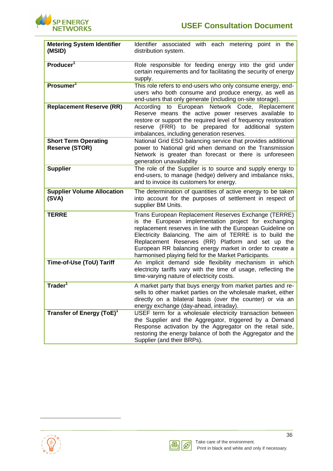

| <b>Metering System Identifier</b><br>(MSID)          | Identifier associated with each metering point in the<br>distribution system.                                                                                                                                                                                                                                                                                                                                     |
|------------------------------------------------------|-------------------------------------------------------------------------------------------------------------------------------------------------------------------------------------------------------------------------------------------------------------------------------------------------------------------------------------------------------------------------------------------------------------------|
| Producer <sup>1</sup>                                | Role responsible for feeding energy into the grid under<br>certain requirements and for facilitating the security of energy<br>supply.                                                                                                                                                                                                                                                                            |
| Prosumer <sup>1</sup>                                | This role refers to end-users who only consume energy, end-<br>users who both consume and produce energy, as well as<br>end-users that only generate (including on-site storage).                                                                                                                                                                                                                                 |
| <b>Replacement Reserve (RR)</b>                      | to European Network Code, Replacement<br>According<br>Reserve means the active power reserves available to<br>restore or support the required level of frequency restoration<br>reserve (FRR) to be prepared for additional system<br>imbalances, including generation reserves.                                                                                                                                  |
| <b>Short Term Operating</b><br><b>Reserve (STOR)</b> | National Grid ESO balancing service that provides additional<br>power to National grid when demand on the Transmission<br>Network is greater than forecast or there is unforeseen<br>generation unavailability                                                                                                                                                                                                    |
| <b>Supplier</b>                                      | The role of the Supplier is to source and supply energy to<br>end-users, to manage (hedge) delivery and imbalance risks,<br>and to invoice its customers for energy.                                                                                                                                                                                                                                              |
| <b>Supplier Volume Allocation</b><br>(SVA)           | The determination of quantities of active energy to be taken<br>into account for the purposes of settlement in respect of<br>supplier BM Units.                                                                                                                                                                                                                                                                   |
| <b>TERRE</b>                                         | Trans European Replacement Reserves Exchange (TERRE)<br>is the European implementation project for exchanging<br>replacement reserves in line with the European Guideline on<br>Electricity Balancing. The aim of TERRE is to build the<br>Replacement Reserves (RR) Platform and set up the<br>European RR balancing energy market in order to create a<br>harmonised playing field for the Market Participants. |
| Time-of-Use (ToU) Tariff                             | An implicit demand side flexibility mechanism in which<br>electricity tariffs vary with the time of usage, reflecting the<br>time-varying nature of electricity costs.                                                                                                                                                                                                                                            |
| Trader <sup>1</sup>                                  | A market party that buys energy from market parties and re-<br>sells to other market parties on the wholesale market, either<br>directly on a bilateral basis (over the counter) or via an<br>energy exchange (day-ahead, intraday).                                                                                                                                                                              |
| Transfer of Energy (ToE) <sup>1</sup>                | USEF term for a wholesale electricity transaction between<br>the Supplier and the Aggregator, triggered by a Demand<br>Response activation by the Aggregator on the retail side,<br>restoring the energy balance of both the Aggregator and the<br>Supplier (and their BRPs).                                                                                                                                     |



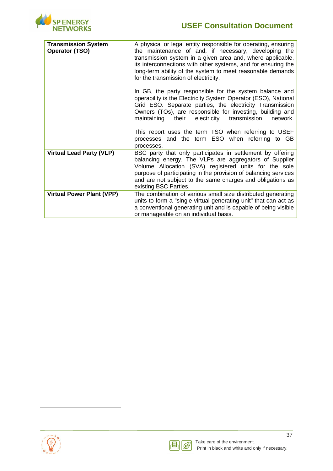

| <b>Transmission System</b><br><b>Operator (TSO)</b> | A physical or legal entity responsible for operating, ensuring<br>the maintenance of and, if necessary, developing the<br>transmission system in a given area and, where applicable,<br>its interconnections with other systems, and for ensuring the<br>long-term ability of the system to meet reasonable demands<br>for the transmission of electricity. |
|-----------------------------------------------------|-------------------------------------------------------------------------------------------------------------------------------------------------------------------------------------------------------------------------------------------------------------------------------------------------------------------------------------------------------------|
|                                                     | In GB, the party responsible for the system balance and<br>operability is the Electricity System Operator (ESO), National<br>Grid ESO. Separate parties, the electricity Transmission<br>Owners (TOs), are responsible for investing, building and<br>maintaining their<br>transmission<br>electricity<br>network.                                          |
|                                                     | This report uses the term TSO when referring to USEF<br>processes and the term ESO when referring to GB<br>processes.                                                                                                                                                                                                                                       |
| <b>Virtual Lead Party (VLP)</b>                     | BSC party that only participates in settlement by offering<br>balancing energy. The VLPs are aggregators of Supplier<br>Volume Allocation (SVA) registered units for the sole<br>purpose of participating in the provision of balancing services<br>and are not subject to the same charges and obligations as<br>existing BSC Parties.                     |
| <b>Virtual Power Plant (VPP)</b>                    | The combination of various small size distributed generating<br>units to form a "single virtual generating unit" that can act as<br>a conventional generating unit and is capable of being visible<br>or manageable on an individual basis.                                                                                                                 |

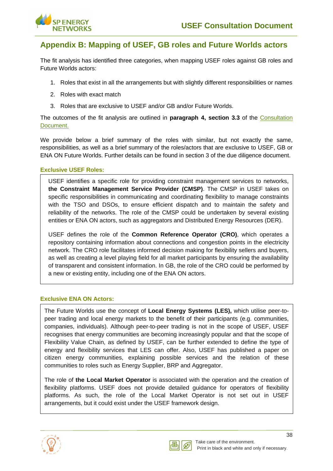

## <span id="page-40-0"></span>**Appendix B: Mapping of USEF, GB roles and Future Worlds actors**

The fit analysis has identified three categories, when mapping USEF roles against GB roles and Future Worlds actors:

- 1. Roles that exist in all the arrangements but with slightly different responsibilities or names
- 2. Roles with exact match
- 3. Roles that are exclusive to USEF and/or GB and/or Future Worlds.

The outcomes of the fit analysis are outlined in **paragraph 4, section 3.3** of the [Consultation](https://www.spenergynetworks.co.uk/userfiles/file/SPEN_Fusion_Consultation_Document.pdf)  [Document.](https://www.spenergynetworks.co.uk/userfiles/file/SPEN_Fusion_Consultation_Document.pdf)

We provide below a brief summary of the roles with similar, but not exactly the same, responsibilities, as well as a brief summary of the roles/actors that are exclusive to USEF, GB or ENA ON Future Worlds. Further details can be found in section 3 of the due diligence document.

#### **Exclusive USEF Roles:**

USEF identifies a specific role for providing constraint management services to networks, **the Constraint Management Service Provider (CMSP)**. The CMSP in USEF takes on specific responsibilities in communicating and coordinating flexibility to manage constraints with the TSO and DSOs, to ensure efficient dispatch and to maintain the safety and reliability of the networks. The role of the CMSP could be undertaken by several existing entities or ENA ON actors, such as aggregators and Distributed Energy Resources (DER).

USEF defines the role of the **Common Reference Operator (CRO)**, which operates a repository containing information about connections and congestion points in the electricity network. The CRO role facilitates informed decision making for flexibility sellers and buyers, as well as creating a level playing field for all market participants by ensuring the availability of transparent and consistent information. In GB, the role of the CRO could be performed by a new or existing entity, including one of the ENA ON actors.

#### **Exclusive ENA ON Actors:**

The Future Worlds use the concept of **Local Energy Systems (LES),** which utilise peer-topeer trading and local energy markets to the benefit of their participants (e.g. communities, companies, individuals). Although peer-to-peer trading is not in the scope of USEF, USEF recognises that energy communities are becoming increasingly popular and that the scope of Flexibility Value Chain, as defined by USEF, can be further extended to define the type of energy and flexibility services that LES can offer. Also, USEF has published a paper on citizen energy communities, explaining possible services and the relation of these communities to roles such as Energy Supplier, BRP and Aggregator.

The role of **the Local Market Operator** is associated with the operation and the creation of flexibility platforms. USEF does not provide detailed guidance for operators of flexibility platforms. As such, the role of the Local Market Operator is not set out in USEF arrangements, but it could exist under the USEF framework design.



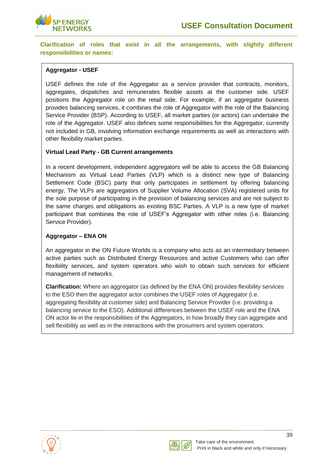

**Clarification of roles that exist in all the arrangements, with slightly different responsibilities or names:**

#### **Aggregator - USEF**

USEF defines the role of the Aggregator as a service provider that contracts, monitors, aggregates, dispatches and remunerates flexible assets at the customer side. USEF positions the Aggregator role on the retail side. For example, if an aggregator business provides balancing services, it combines the role of Aggregator with the role of the Balancing Service Provider (BSP). According to USEF, all market parties (or actors) can undertake the role of the Aggregator. USEF also defines some responsibilities for the Aggregator, currently not included in GB, involving information exchange requirements as well as interactions with other flexibility market parties.

#### **Virtual Lead Party - GB Current arrangements**

In a recent development, independent aggregators will be able to access the GB Balancing Mechanism as Virtual Lead Parties (VLP) which is a distinct new type of Balancing Settlement Code (BSC) party that only participates in settlement by offering balancing energy. The VLPs are aggregators of Supplier Volume Allocation (SVA) registered units for the sole purpose of participating in the provision of balancing services and are not subject to the same charges and obligations as existing BSC Parties. A VLP is a new type of market participant that combines the role of USEF's Aggregator with other roles (i.e. Balancing Service Provider).

#### **Aggregator – ENA ON**

An aggregator in the ON Future Worlds is a company who acts as an intermediary between active parties such as Distributed Energy Resources and active Customers who can offer flexibility services, and system operators who wish to obtain such services for efficient management of networks.

**Clarification:** Where an aggregator (as defined by the ENA ON) provides flexibility services to the ESO then the aggregator actor combines the USEF roles of Aggregator (i.e. aggregating flexibility at customer side) and Balancing Service Provider (i.e. providing a balancing service to the ESO). Additional differences between the USEF role and the ENA ON actor lie in the responsibilities of the Aggregators, in how broadly they can aggregate and sell flexibility as well as in the interactions with the prosumers and system operators.



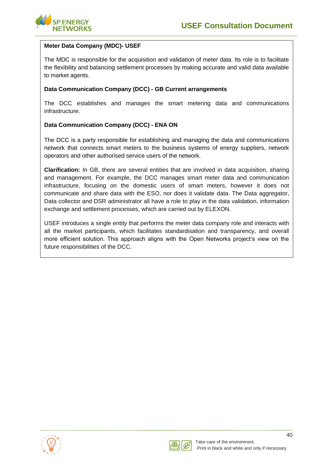

#### **Meter Data Company (MDC)- USEF**

The MDC is responsible for the acquisition and validation of meter data. Its role is to facilitate the flexibility and balancing settlement processes by making accurate and valid data available to market agents.

#### **Data Communication Company (DCC) - GB Current arrangements**

The DCC establishes and manages the smart metering data and communications infrastructure.

#### **Data Communication Company (DCC) - ENA ON**

The DCC is a party responsible for establishing and managing the data and communications network that connects smart meters to the business systems of energy suppliers, network operators and other authorised service users of the network.

**Clarification:** In GB, there are several entities that are involved in data acquisition, sharing and management. For example, the DCC manages smart meter data and communication infrastructure, focusing on the domestic users of smart meters, however it does not communicate and share data with the ESO, nor does it validate data. The Data aggregator, Data collector and DSR administrator all have a role to play in the data validation, information exchange and settlement processes, which are carried out by ELEXON.

USEF introduces a single entity that performs the meter data company role and interacts with all the market participants, which facilitates standardisation and transparency, and overall more efficient solution. This approach aligns with the Open Networks project's view on the future responsibilities of the DCC.



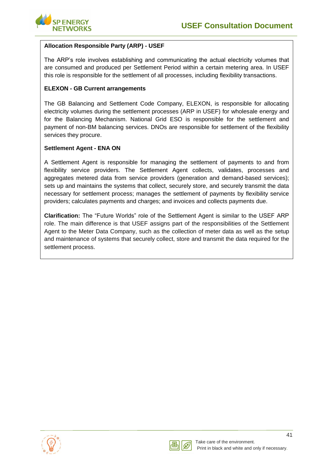

#### **Allocation Responsible Party (ARP) - USEF**

The ARP's role involves establishing and communicating the actual electricity volumes that are consumed and produced per Settlement Period within a certain metering area. In USEF this role is responsible for the settlement of all processes, including flexibility transactions.

#### **ELEXON - GB Current arrangements**

The GB Balancing and Settlement Code Company, ELEXON, is responsible for allocating electricity volumes during the settlement processes (ARP in USEF) for wholesale energy and for the Balancing Mechanism. National Grid ESO is responsible for the settlement and payment of non-BM balancing services. DNOs are responsible for settlement of the flexibility services they procure.

#### **Settlement Agent - ENA ON**

A Settlement Agent is responsible for managing the settlement of payments to and from flexibility service providers. The Settlement Agent collects, validates, processes and aggregates metered data from service providers (generation and demand-based services); sets up and maintains the systems that collect, securely store, and securely transmit the data necessary for settlement process; manages the settlement of payments by flexibility service providers; calculates payments and charges; and invoices and collects payments due.

**Clarification:** The "Future Worlds" role of the Settlement Agent is similar to the USEF ARP role. The main difference is that USEF assigns part of the responsibilities of the Settlement Agent to the Meter Data Company, such as the collection of meter data as well as the setup and maintenance of systems that securely collect, store and transmit the data required for the settlement process.



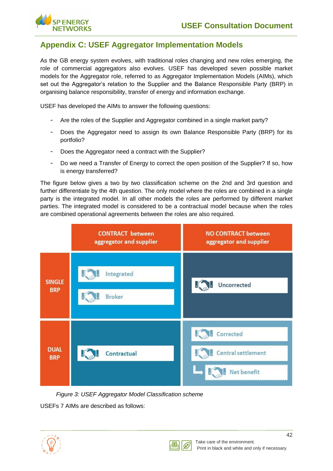

## <span id="page-44-0"></span>**Appendix C: USEF Aggregator Implementation Models**

As the GB energy system evolves, with traditional roles changing and new roles emerging, the role of commercial aggregators also evolves. USEF has developed seven possible market models for the Aggregator role, referred to as Aggregator Implementation Models (AIMs), which set out the Aggregator's relation to the Supplier and the Balance Responsible Party (BRP) in organising balance responsibility, transfer of energy and information exchange.

USEF has developed the AIMs to answer the following questions:

- Are the roles of the Supplier and Aggregator combined in a single market party?
- Does the Aggregator need to assign its own Balance Responsible Party (BRP) for its portfolio?
- Does the Aggregator need a contract with the Supplier?
- Do we need a Transfer of Energy to correct the open position of the Supplier? If so, how is energy transferred?

The figure below gives a two by two classification scheme on the 2nd and 3rd question and further differentiate by the 4th question. The only model where the roles are combined in a single party is the integrated model. In all other models the roles are performed by different market parties. The integrated model is considered to be a contractual model because when the roles are combined operational agreements between the roles are also required.



*Figure 3: USEF Aggregator Model Classification scheme*

USEFs 7 AIMs are described as follows:



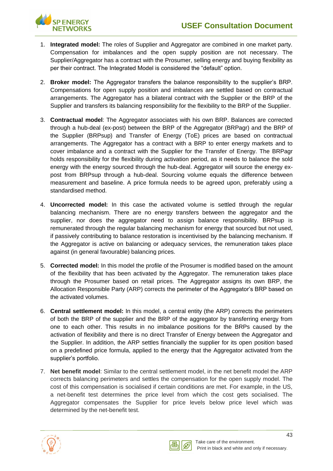

- 1. **Integrated model:** The roles of Supplier and Aggregator are combined in one market party. Compensation for imbalances and the open supply position are not necessary. The Supplier/Aggregator has a contract with the Prosumer, selling energy and buying flexibility as per their contract. The Integrated Model is considered the "default" option.
- 2. **Broker model:** The Aggregator transfers the balance responsibility to the supplier's BRP. Compensations for open supply position and imbalances are settled based on contractual arrangements. The Aggregator has a bilateral contract with the Supplier or the BRP of the Supplier and transfers its balancing responsibility for the flexibility to the BRP of the Supplier.
- 3. **Contractual model**: The Aggregator associates with his own BRP. Balances are corrected through a hub-deal (ex-post) between the BRP of the Aggregator (BRPagr) and the BRP of the Supplier (BRPsup) and Transfer of Energy (ToE) prices are based on contractual arrangements. The Aggregator has a contract with a BRP to enter energy markets and to cover imbalance and a contract with the Supplier for the Transfer of Energy. The BRPagr holds responsibility for the flexibility during activation period, as it needs to balance the sold energy with the energy sourced through the hub-deal. Aggregator will source the energy expost from BRPsup through a hub-deal. Sourcing volume equals the difference between measurement and baseline. A price formula needs to be agreed upon, preferably using a standardised method.
- 4. **Uncorrected model:** In this case the activated volume is settled through the regular balancing mechanism. There are no energy transfers between the aggregator and the supplier, nor does the aggregator need to assign balance responsibility. BRPsup is remunerated through the regular balancing mechanism for energy that sourced but not used, if passively contributing to balance restoration is incentivised by the balancing mechanism. If the Aggregator is active on balancing or adequacy services, the remuneration takes place against (in general favourable) balancing prices.
- 5. **Corrected model:** In this model the profile of the Prosumer is modified based on the amount of the flexibility that has been activated by the Aggregator. The remuneration takes place through the Prosumer based on retail prices. The Aggregator assigns its own BRP, the Allocation Responsible Party (ARP) corrects the perimeter of the Aggregator's BRP based on the activated volumes.
- 6. **Central settlement model:** In this model, a central entity (the ARP) corrects the perimeters of both the BRP of the supplier and the BRP of the aggregator by transferring energy from one to each other. This results in no imbalance positions for the BRPs caused by the activation of flexibility and there is no direct Transfer of Energy between the Aggregator and the Supplier. In addition, the ARP settles financially the supplier for its open position based on a predefined price formula, applied to the energy that the Aggregator activated from the supplier's portfolio.
- 7. **Net benefit model**: Similar to the central settlement model, in the net benefit model the ARP corrects balancing perimeters and settles the compensation for the open supply model. The cost of this compensation is socialised if certain conditions are met. For example, in the US, a net-benefit test determines the price level from which the cost gets socialised. The Aggregator compensates the Supplier for price levels below price level which was determined by the net-benefit test.